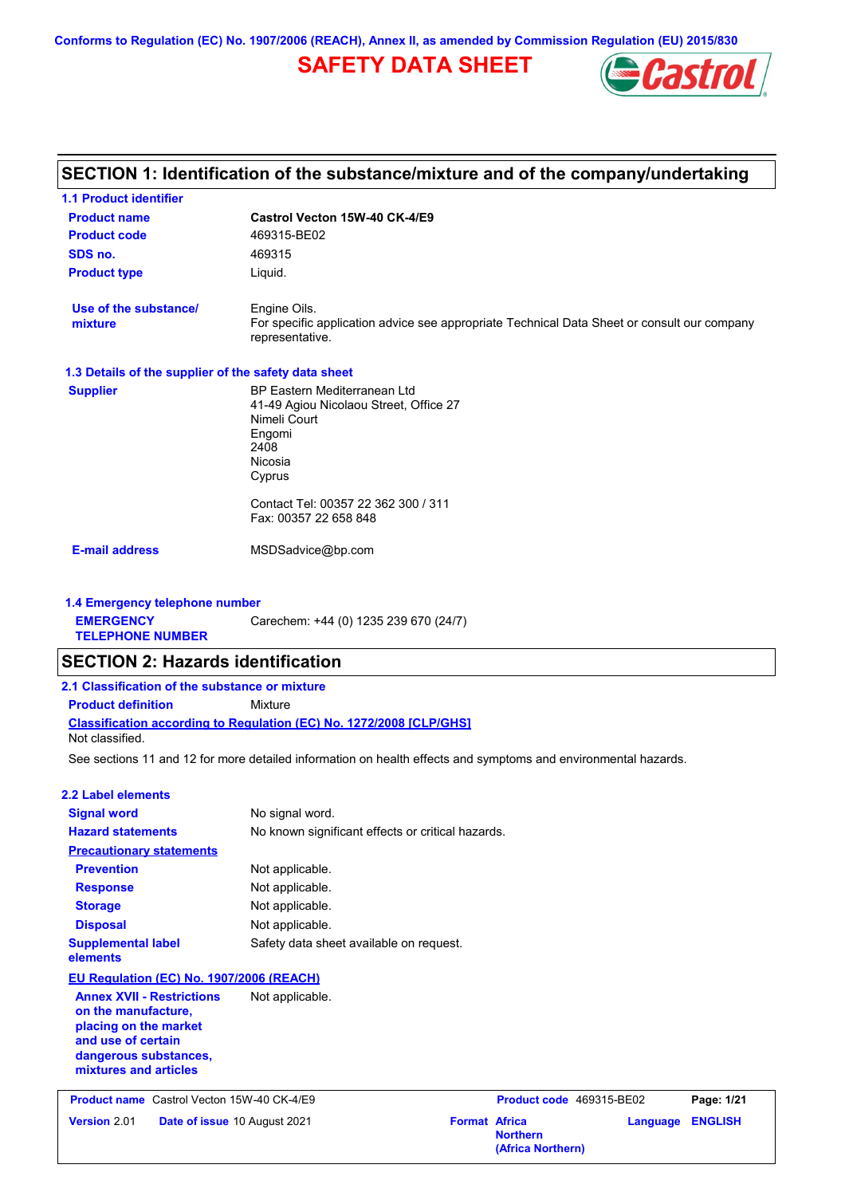# **SAFETY DATA SHEET**



#### **Castrol Vecton 15W-40 CK-4/E9 Product name 1.1 Product identifier 1.3 Details of the supplier of the safety data sheet Product type Liquid. E-mail address** MSDSadvice@bp.com **SECTION 1: Identification of the substance/mixture and of the company/undertaking Product code** 469315-BE02 **1.4 Emergency telephone number EMERGENCY TELEPHONE NUMBER** Carechem: +44 (0) 1235 239 670 (24/7) **Supplier** BP Eastern Mediterranean Ltd 41-49 Agiou Nicolaou Street, Office 27 Nimeli Court Engomi 2408 Nicosia Cyprus Contact Tel: 00357 22 362 300 / 311 Fax: 00357 22 658 848 **SDS no.** 469315 **Use of the substance/ mixture** Engine Oils. For specific application advice see appropriate Technical Data Sheet or consult our company representative. See sections 11 and 12 for more detailed information on health effects and symptoms and environmental hazards. **Classification according to Regulation (EC) No. 1272/2008 [CLP/GHS] SECTION 2: Hazards identification 2.1 Classification of the substance or mixture Product definition** Mixture **2.2 Label elements Signal word Hazard statements Prevention Precautionary statements Response Storage Disposal** No signal word. No known significant effects or critical hazards. Not applicable. Not applicable. Not applicable. Not applicable. **Supplemental label elements** Safety data sheet available on request. Not classified. **EU Regulation (EC) No. 1907/2006 (REACH) Annex XVII - Restrictions on the manufacture, placing on the market and use of certain dangerous substances, mixtures and articles** Not applicable. **Product name** Castrol Vecton 15W-40 CK-4/E9 **Product Code 469315-BE02 Page: 1/21 Version** 2.01 **Date of issue** 10 August 2021 **Format Africa Northern Language ENGLISH (Africa Northern)**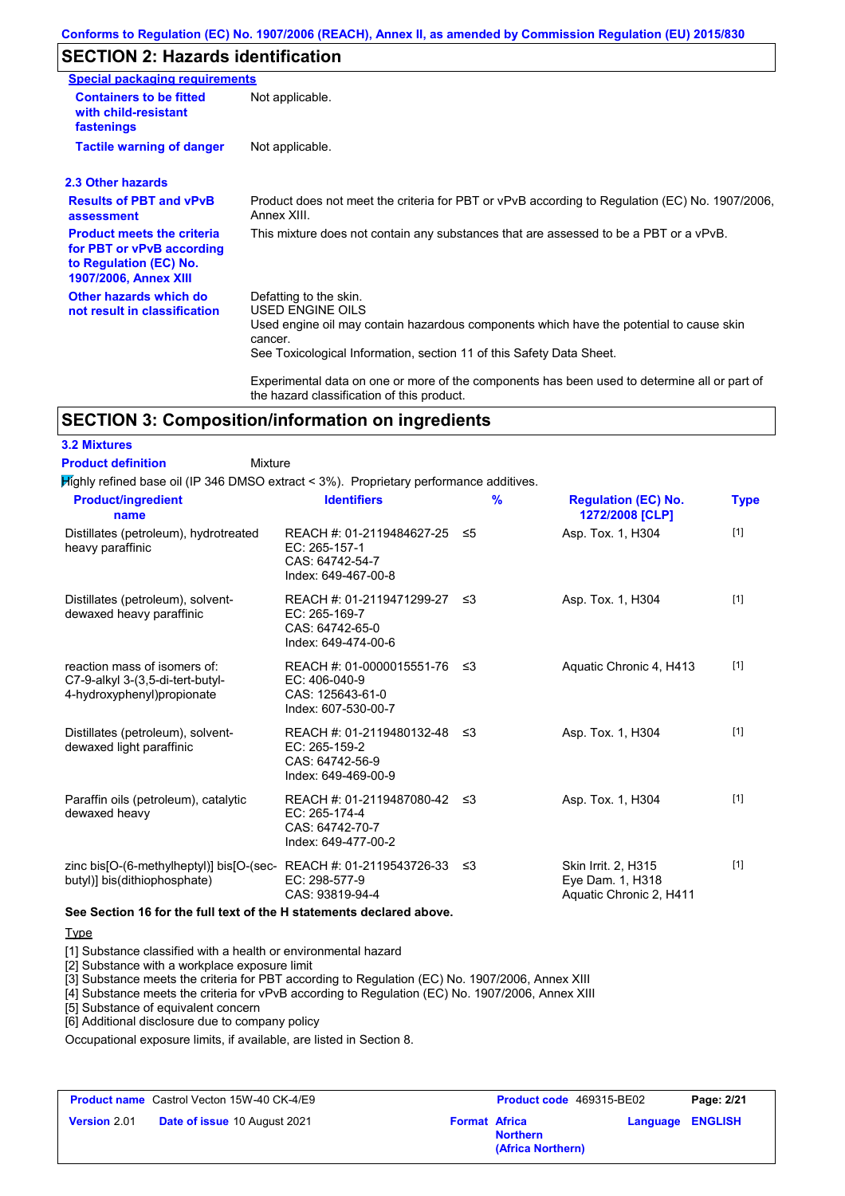## **SECTION 2: Hazards identification**

| <b>Special packaging requirements</b>                                                                                    |                                                                                                                                                                                                                          |
|--------------------------------------------------------------------------------------------------------------------------|--------------------------------------------------------------------------------------------------------------------------------------------------------------------------------------------------------------------------|
| <b>Containers to be fitted</b><br>with child-resistant<br>fastenings                                                     | Not applicable.                                                                                                                                                                                                          |
| <b>Tactile warning of danger</b>                                                                                         | Not applicable.                                                                                                                                                                                                          |
| 2.3 Other hazards                                                                                                        |                                                                                                                                                                                                                          |
| <b>Results of PBT and vPvB</b><br>assessment                                                                             | Product does not meet the criteria for PBT or vPvB according to Regulation (EC) No. 1907/2006,<br>Annex XIII.                                                                                                            |
| <b>Product meets the criteria</b><br>for PBT or vPvB according<br>to Regulation (EC) No.<br><b>1907/2006, Annex XIII</b> | This mixture does not contain any substances that are assessed to be a PBT or a vPvB.                                                                                                                                    |
| Other hazards which do<br>not result in classification                                                                   | Defatting to the skin.<br>USED ENGINE OILS<br>Used engine oil may contain hazardous components which have the potential to cause skin<br>cancer.<br>See Toxicological Information, section 11 of this Safety Data Sheet. |
|                                                                                                                          | Experimental data on one or more of the components has been used to determine all or part of<br>the hazard classification of this product.                                                                               |

## **SECTION 3: Composition/information on ingredients**

Mixture

Highly refined base oil (IP 346 DMSO extract < 3%). Proprietary performance additives. **Product definition**

| <b>Product/ingredient</b><br>name                                                                 | <b>Identifiers</b>                                                                        |     | $\frac{9}{6}$ | <b>Regulation (EC) No.</b><br>1272/2008 [CLP]                      | <b>Type</b> |
|---------------------------------------------------------------------------------------------------|-------------------------------------------------------------------------------------------|-----|---------------|--------------------------------------------------------------------|-------------|
| Distillates (petroleum), hydrotreated<br>heavy paraffinic                                         | REACH #: 01-2119484627-25 ≤5<br>EC: 265-157-1<br>CAS: 64742-54-7<br>Index: 649-467-00-8   |     |               | Asp. Tox. 1, H304                                                  | $[1]$       |
| Distillates (petroleum), solvent-<br>dewaxed heavy paraffinic                                     | REACH #: 01-2119471299-27 ≤3<br>$EC: 265-169-7$<br>CAS: 64742-65-0<br>Index: 649-474-00-6 |     |               | Asp. Tox. 1, H304                                                  | $[1]$       |
| reaction mass of isomers of:<br>C7-9-alkyl 3-(3,5-di-tert-butyl-<br>4-hydroxyphenyl) propionate   | REACH #: 01-0000015551-76 ≤3<br>EC: 406-040-9<br>CAS: 125643-61-0<br>Index: 607-530-00-7  |     |               | Aquatic Chronic 4, H413                                            | $[1]$       |
| Distillates (petroleum), solvent-<br>dewaxed light paraffinic                                     | REACH #: 01-2119480132-48<br>EC: 265-159-2<br>CAS: 64742-56-9<br>Index: 649-469-00-9      | -≤3 |               | Asp. Tox. 1, H304                                                  | $[1]$       |
| Paraffin oils (petroleum), catalytic<br>dewaxed heavy                                             | REACH #: 01-2119487080-42 ≤3<br>EC: 265-174-4<br>CAS: 64742-70-7<br>Index: 649-477-00-2   |     |               | Asp. Tox. 1, H304                                                  | $[1]$       |
| zinc bis[O-(6-methylheptyl)] bis[O-(sec-REACH #: 01-2119543726-33<br>butyl)] bis(dithiophosphate) | EC: 298-577-9<br>CAS: 93819-94-4                                                          | -≤3 |               | Skin Irrit. 2, H315<br>Eye Dam. 1, H318<br>Aquatic Chronic 2, H411 | $[1]$       |

#### **See Section 16 for the full text of the H statements declared above.**

### **Type**

**3.2 Mixtures**

[1] Substance classified with a health or environmental hazard

[2] Substance with a workplace exposure limit

[3] Substance meets the criteria for PBT according to Regulation (EC) No. 1907/2006, Annex XIII

[4] Substance meets the criteria for vPvB according to Regulation (EC) No. 1907/2006, Annex XIII

[5] Substance of equivalent concern

[6] Additional disclosure due to company policy

Occupational exposure limits, if available, are listed in Section 8.

|                     | <b>Product name</b> Castrol Vecton 15W-40 CK-4/E9 |                      | <b>Product code</b> 469315-BE02      |                         | Page: 2/21 |
|---------------------|---------------------------------------------------|----------------------|--------------------------------------|-------------------------|------------|
| <b>Version 2.01</b> | <b>Date of issue 10 August 2021</b>               | <b>Format Africa</b> | <b>Northern</b><br>(Africa Northern) | <b>Language ENGLISH</b> |            |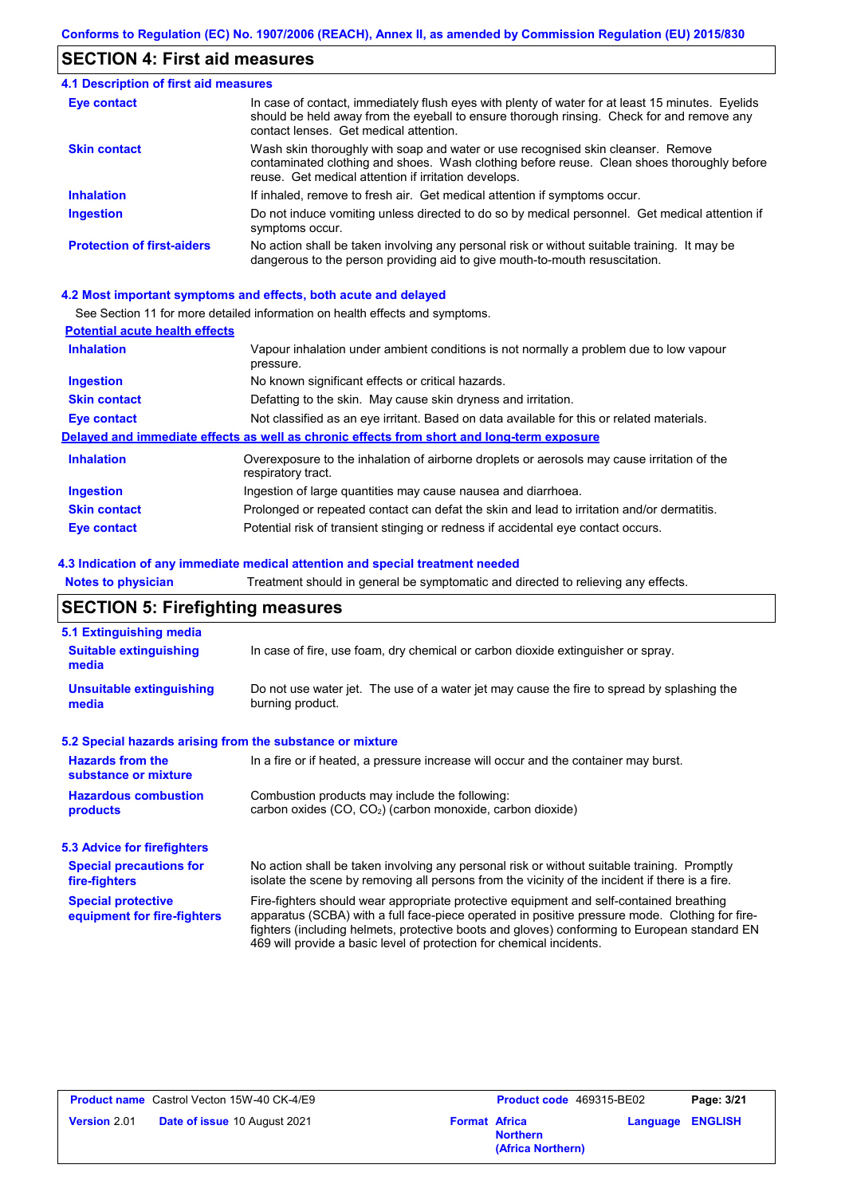## **SECTION 4: First aid measures**

#### Do not induce vomiting unless directed to do so by medical personnel. Get medical attention if symptoms occur. In case of contact, immediately flush eyes with plenty of water for at least 15 minutes. Eyelids should be held away from the eyeball to ensure thorough rinsing. Check for and remove any contact lenses. Get medical attention. **4.1 Description of first aid measures** If inhaled, remove to fresh air. Get medical attention if symptoms occur. **Ingestion Inhalation Eye contact Protection of first-aiders** No action shall be taken involving any personal risk or without suitable training. It may be dangerous to the person providing aid to give mouth-to-mouth resuscitation. **Skin contact** Wash skin thoroughly with soap and water or use recognised skin cleanser. Remove contaminated clothing and shoes. Wash clothing before reuse. Clean shoes thoroughly before reuse. Get medical attention if irritation develops.

#### **4.2 Most important symptoms and effects, both acute and delayed**

See Section 11 for more detailed information on health effects and symptoms.

| <b>Potential acute health effects</b> |                                                                                                                   |
|---------------------------------------|-------------------------------------------------------------------------------------------------------------------|
| <b>Inhalation</b>                     | Vapour inhalation under ambient conditions is not normally a problem due to low vapour<br>pressure.               |
| <b>Ingestion</b>                      | No known significant effects or critical hazards.                                                                 |
| <b>Skin contact</b>                   | Defatting to the skin. May cause skin dryness and irritation.                                                     |
| Eye contact                           | Not classified as an eye irritant. Based on data available for this or related materials.                         |
|                                       | Delayed and immediate effects as well as chronic effects from short and long-term exposure                        |
| <b>Inhalation</b>                     | Overexposure to the inhalation of airborne droplets or aerosols may cause irritation of the<br>respiratory tract. |
| <b>Ingestion</b>                      | Ingestion of large quantities may cause nausea and diarrhoea.                                                     |
| <b>Skin contact</b>                   | Prolonged or repeated contact can defat the skin and lead to irritation and/or dermatitis.                        |
| Eye contact                           | Potential risk of transient stinging or redness if accidental eye contact occurs.                                 |

#### **4.3 Indication of any immediate medical attention and special treatment needed**

| <b>Notes to physician</b>                                                                                                                                           | Treatment should in general be symptomatic and directed to relieving any effects.                                                                                                                                                                                                                                                                                 |  |  |
|---------------------------------------------------------------------------------------------------------------------------------------------------------------------|-------------------------------------------------------------------------------------------------------------------------------------------------------------------------------------------------------------------------------------------------------------------------------------------------------------------------------------------------------------------|--|--|
| <b>SECTION 5: Firefighting measures</b>                                                                                                                             |                                                                                                                                                                                                                                                                                                                                                                   |  |  |
| 5.1 Extinguishing media                                                                                                                                             |                                                                                                                                                                                                                                                                                                                                                                   |  |  |
| <b>Suitable extinguishing</b><br>media                                                                                                                              | In case of fire, use foam, dry chemical or carbon dioxide extinguisher or spray.                                                                                                                                                                                                                                                                                  |  |  |
| <b>Unsuitable extinguishing</b><br>media                                                                                                                            | Do not use water jet. The use of a water jet may cause the fire to spread by splashing the<br>burning product.                                                                                                                                                                                                                                                    |  |  |
| 5.2 Special hazards arising from the substance or mixture                                                                                                           |                                                                                                                                                                                                                                                                                                                                                                   |  |  |
| <b>Hazards from the</b><br>In a fire or if heated, a pressure increase will occur and the container may burst.<br>substance or mixture                              |                                                                                                                                                                                                                                                                                                                                                                   |  |  |
| <b>Hazardous combustion</b><br>Combustion products may include the following:<br>carbon oxides (CO, CO <sub>2</sub> ) (carbon monoxide, carbon dioxide)<br>products |                                                                                                                                                                                                                                                                                                                                                                   |  |  |
| 5.3 Advice for firefighters                                                                                                                                         |                                                                                                                                                                                                                                                                                                                                                                   |  |  |
| <b>Special precautions for</b><br>fire-fighters                                                                                                                     | No action shall be taken involving any personal risk or without suitable training. Promptly<br>isolate the scene by removing all persons from the vicinity of the incident if there is a fire.                                                                                                                                                                    |  |  |
| <b>Special protective</b><br>equipment for fire-fighters                                                                                                            | Fire-fighters should wear appropriate protective equipment and self-contained breathing<br>apparatus (SCBA) with a full face-piece operated in positive pressure mode. Clothing for fire-<br>fighters (including helmets, protective boots and gloves) conforming to European standard EN<br>469 will provide a basic level of protection for chemical incidents. |  |  |

|                     | <b>Product name</b> Castrol Vecton 15W-40 CK-4/E9 |                      | <b>Product code</b> 469315-BE02      |                         | Page: 3/21 |
|---------------------|---------------------------------------------------|----------------------|--------------------------------------|-------------------------|------------|
| <b>Version</b> 2.01 | <b>Date of issue 10 August 2021</b>               | <b>Format Africa</b> | <b>Northern</b><br>(Africa Northern) | <b>Language ENGLISH</b> |            |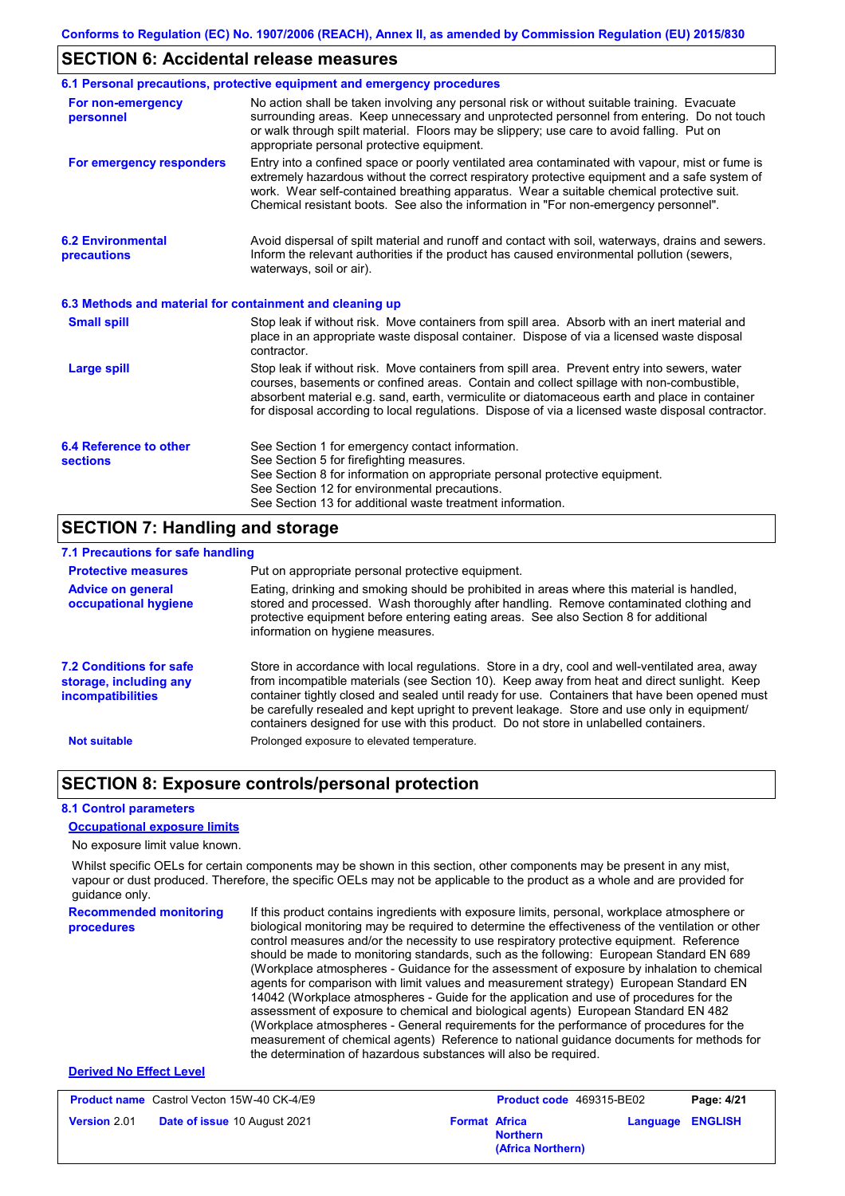## **SECTION 6: Accidental release measures**

|                                                          | 6.1 Personal precautions, protective equipment and emergency procedures                                                                                                                                                                                                                                                                                                                        |  |  |
|----------------------------------------------------------|------------------------------------------------------------------------------------------------------------------------------------------------------------------------------------------------------------------------------------------------------------------------------------------------------------------------------------------------------------------------------------------------|--|--|
| For non-emergency<br>personnel                           | No action shall be taken involving any personal risk or without suitable training. Evacuate<br>surrounding areas. Keep unnecessary and unprotected personnel from entering. Do not touch<br>or walk through spilt material. Floors may be slippery; use care to avoid falling. Put on<br>appropriate personal protective equipment.                                                            |  |  |
| For emergency responders                                 | Entry into a confined space or poorly ventilated area contaminated with vapour, mist or fume is<br>extremely hazardous without the correct respiratory protective equipment and a safe system of<br>work. Wear self-contained breathing apparatus. Wear a suitable chemical protective suit.<br>Chemical resistant boots. See also the information in "For non-emergency personnel".           |  |  |
| <b>6.2 Environmental</b><br>precautions                  | Avoid dispersal of spilt material and runoff and contact with soil, waterways, drains and sewers.<br>Inform the relevant authorities if the product has caused environmental pollution (sewers,<br>waterways, soil or air).                                                                                                                                                                    |  |  |
| 6.3 Methods and material for containment and cleaning up |                                                                                                                                                                                                                                                                                                                                                                                                |  |  |
| <b>Small spill</b>                                       | Stop leak if without risk. Move containers from spill area. Absorb with an inert material and<br>place in an appropriate waste disposal container. Dispose of via a licensed waste disposal<br>contractor.                                                                                                                                                                                     |  |  |
| <b>Large spill</b>                                       | Stop leak if without risk. Move containers from spill area. Prevent entry into sewers, water<br>courses, basements or confined areas. Contain and collect spillage with non-combustible,<br>absorbent material e.g. sand, earth, vermiculite or diatomaceous earth and place in container<br>for disposal according to local regulations. Dispose of via a licensed waste disposal contractor. |  |  |
| 6.4 Reference to other<br><b>sections</b>                | See Section 1 for emergency contact information.<br>See Section 5 for firefighting measures.<br>See Section 8 for information on appropriate personal protective equipment.<br>See Section 12 for environmental precautions.<br>See Section 13 for additional waste treatment information.                                                                                                     |  |  |

## **SECTION 7: Handling and storage**

## **7.1 Precautions for safe handling**

| <b>Protective measures</b>                                                           | Put on appropriate personal protective equipment.                                                                                                                                                                                                                                                                                                                                                                                                                                        |
|--------------------------------------------------------------------------------------|------------------------------------------------------------------------------------------------------------------------------------------------------------------------------------------------------------------------------------------------------------------------------------------------------------------------------------------------------------------------------------------------------------------------------------------------------------------------------------------|
| <b>Advice on general</b><br>occupational hygiene                                     | Eating, drinking and smoking should be prohibited in areas where this material is handled.<br>stored and processed. Wash thoroughly after handling. Remove contaminated clothing and<br>protective equipment before entering eating areas. See also Section 8 for additional<br>information on hygiene measures.                                                                                                                                                                         |
| <b>7.2 Conditions for safe</b><br>storage, including any<br><b>incompatibilities</b> | Store in accordance with local requlations. Store in a dry, cool and well-ventilated area, away<br>from incompatible materials (see Section 10). Keep away from heat and direct sunlight. Keep<br>container tightly closed and sealed until ready for use. Containers that have been opened must<br>be carefully resealed and kept upright to prevent leakage. Store and use only in equipment/<br>containers designed for use with this product. Do not store in unlabelled containers. |
| <b>Not suitable</b>                                                                  | Prolonged exposure to elevated temperature.                                                                                                                                                                                                                                                                                                                                                                                                                                              |

## **SECTION 8: Exposure controls/personal protection**

#### **8.1 Control parameters**

#### **Occupational exposure limits**

No exposure limit value known.

Whilst specific OELs for certain components may be shown in this section, other components may be present in any mist, vapour or dust produced. Therefore, the specific OELs may not be applicable to the product as a whole and are provided for guidance only.

**Recommended monitoring procedures** If this product contains ingredients with exposure limits, personal, workplace atmosphere or biological monitoring may be required to determine the effectiveness of the ventilation or other control measures and/or the necessity to use respiratory protective equipment. Reference should be made to monitoring standards, such as the following: European Standard EN 689 (Workplace atmospheres - Guidance for the assessment of exposure by inhalation to chemical agents for comparison with limit values and measurement strategy) European Standard EN 14042 (Workplace atmospheres - Guide for the application and use of procedures for the assessment of exposure to chemical and biological agents) European Standard EN 482 (Workplace atmospheres - General requirements for the performance of procedures for the measurement of chemical agents) Reference to national guidance documents for methods for the determination of hazardous substances will also be required.

### **Derived No Effect Level**

|                     | <b>Product name</b> Castrol Vecton 15W-40 CK-4/E9 |                      | <b>Product code</b> 469315-BE02      |                         | Page: 4/21 |
|---------------------|---------------------------------------------------|----------------------|--------------------------------------|-------------------------|------------|
| <b>Version 2.01</b> | <b>Date of issue 10 August 2021</b>               | <b>Format Africa</b> | <b>Northern</b><br>(Africa Northern) | <b>Language ENGLISH</b> |            |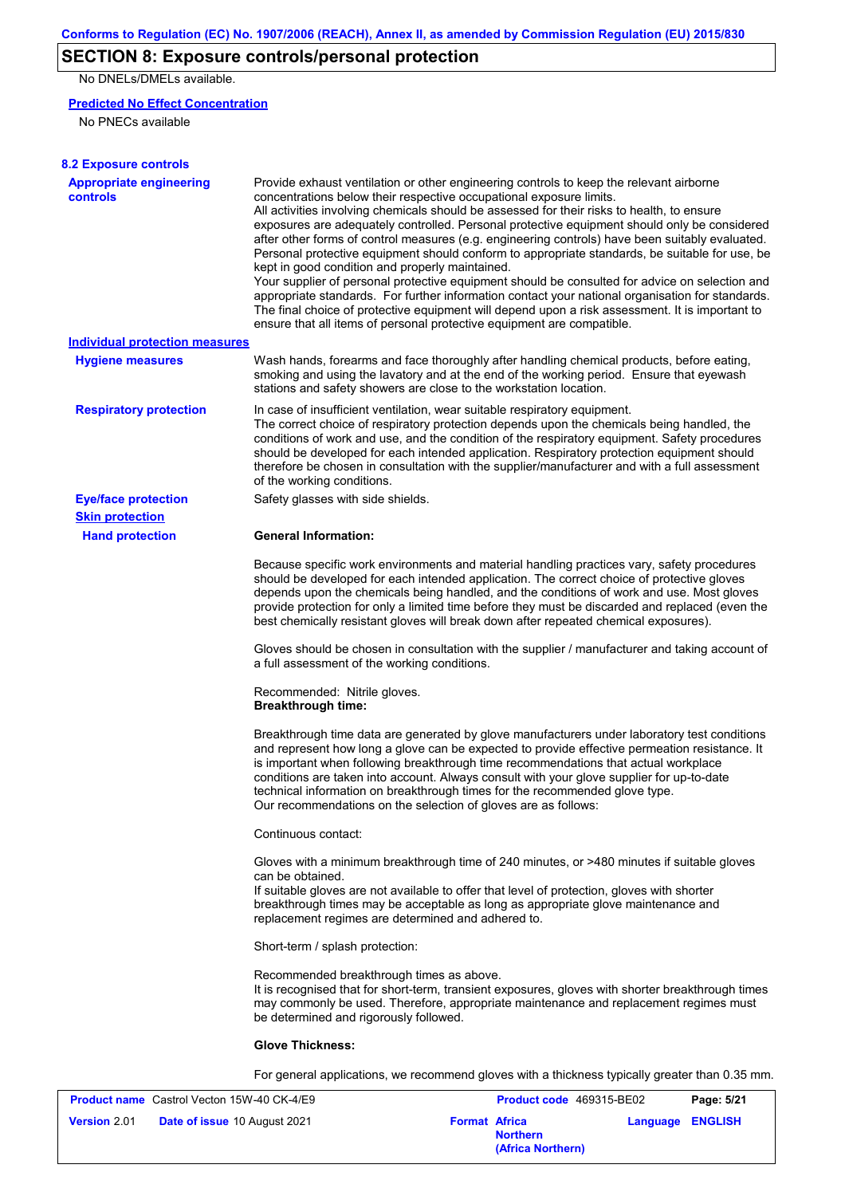# **SECTION 8: Exposure controls/personal protection**

No DNELs/DMELs available.

## **Predicted No Effect Concentration**

No PNECs available

| <b>8.2 Exposure controls</b>                      |                                                                                                                                                                                                                                                                                                                                                                                                                                                                                                                                                                                                                                                                                                                                                                                                                                                                                                                                                                                                         |
|---------------------------------------------------|---------------------------------------------------------------------------------------------------------------------------------------------------------------------------------------------------------------------------------------------------------------------------------------------------------------------------------------------------------------------------------------------------------------------------------------------------------------------------------------------------------------------------------------------------------------------------------------------------------------------------------------------------------------------------------------------------------------------------------------------------------------------------------------------------------------------------------------------------------------------------------------------------------------------------------------------------------------------------------------------------------|
| <b>Appropriate engineering</b><br><b>controls</b> | Provide exhaust ventilation or other engineering controls to keep the relevant airborne<br>concentrations below their respective occupational exposure limits.<br>All activities involving chemicals should be assessed for their risks to health, to ensure<br>exposures are adequately controlled. Personal protective equipment should only be considered<br>after other forms of control measures (e.g. engineering controls) have been suitably evaluated.<br>Personal protective equipment should conform to appropriate standards, be suitable for use, be<br>kept in good condition and properly maintained.<br>Your supplier of personal protective equipment should be consulted for advice on selection and<br>appropriate standards. For further information contact your national organisation for standards.<br>The final choice of protective equipment will depend upon a risk assessment. It is important to<br>ensure that all items of personal protective equipment are compatible. |
| Individual protection measures                    |                                                                                                                                                                                                                                                                                                                                                                                                                                                                                                                                                                                                                                                                                                                                                                                                                                                                                                                                                                                                         |
| <b>Hygiene measures</b>                           | Wash hands, forearms and face thoroughly after handling chemical products, before eating,<br>smoking and using the lavatory and at the end of the working period. Ensure that eyewash<br>stations and safety showers are close to the workstation location.                                                                                                                                                                                                                                                                                                                                                                                                                                                                                                                                                                                                                                                                                                                                             |
| <b>Respiratory protection</b>                     | In case of insufficient ventilation, wear suitable respiratory equipment.<br>The correct choice of respiratory protection depends upon the chemicals being handled, the<br>conditions of work and use, and the condition of the respiratory equipment. Safety procedures<br>should be developed for each intended application. Respiratory protection equipment should<br>therefore be chosen in consultation with the supplier/manufacturer and with a full assessment<br>of the working conditions.                                                                                                                                                                                                                                                                                                                                                                                                                                                                                                   |
| <b>Eye/face protection</b>                        | Safety glasses with side shields.                                                                                                                                                                                                                                                                                                                                                                                                                                                                                                                                                                                                                                                                                                                                                                                                                                                                                                                                                                       |
| <b>Skin protection</b>                            |                                                                                                                                                                                                                                                                                                                                                                                                                                                                                                                                                                                                                                                                                                                                                                                                                                                                                                                                                                                                         |
| <b>Hand protection</b>                            | <b>General Information:</b>                                                                                                                                                                                                                                                                                                                                                                                                                                                                                                                                                                                                                                                                                                                                                                                                                                                                                                                                                                             |
|                                                   | Because specific work environments and material handling practices vary, safety procedures<br>should be developed for each intended application. The correct choice of protective gloves<br>depends upon the chemicals being handled, and the conditions of work and use. Most gloves<br>provide protection for only a limited time before they must be discarded and replaced (even the<br>best chemically resistant gloves will break down after repeated chemical exposures).                                                                                                                                                                                                                                                                                                                                                                                                                                                                                                                        |
|                                                   | Gloves should be chosen in consultation with the supplier / manufacturer and taking account of<br>a full assessment of the working conditions.                                                                                                                                                                                                                                                                                                                                                                                                                                                                                                                                                                                                                                                                                                                                                                                                                                                          |
|                                                   | Recommended: Nitrile gloves.<br><b>Breakthrough time:</b>                                                                                                                                                                                                                                                                                                                                                                                                                                                                                                                                                                                                                                                                                                                                                                                                                                                                                                                                               |
|                                                   | Breakthrough time data are generated by glove manufacturers under laboratory test conditions<br>and represent how long a glove can be expected to provide effective permeation resistance. It<br>is important when following breakthrough time recommendations that actual workplace<br>conditions are taken into account. Always consult with your glove supplier for up-to-date<br>technical information on breakthrough times for the recommended glove type.<br>Our recommendations on the selection of gloves are as follows:                                                                                                                                                                                                                                                                                                                                                                                                                                                                      |
|                                                   | Continuous contact:                                                                                                                                                                                                                                                                                                                                                                                                                                                                                                                                                                                                                                                                                                                                                                                                                                                                                                                                                                                     |
|                                                   | Gloves with a minimum breakthrough time of 240 minutes, or >480 minutes if suitable gloves<br>can be obtained.<br>If suitable gloves are not available to offer that level of protection, gloves with shorter<br>breakthrough times may be acceptable as long as appropriate glove maintenance and<br>replacement regimes are determined and adhered to.                                                                                                                                                                                                                                                                                                                                                                                                                                                                                                                                                                                                                                                |
|                                                   | Short-term / splash protection:                                                                                                                                                                                                                                                                                                                                                                                                                                                                                                                                                                                                                                                                                                                                                                                                                                                                                                                                                                         |
|                                                   | Recommended breakthrough times as above.<br>It is recognised that for short-term, transient exposures, gloves with shorter breakthrough times<br>may commonly be used. Therefore, appropriate maintenance and replacement regimes must<br>be determined and rigorously followed.                                                                                                                                                                                                                                                                                                                                                                                                                                                                                                                                                                                                                                                                                                                        |
|                                                   | <b>Glove Thickness:</b>                                                                                                                                                                                                                                                                                                                                                                                                                                                                                                                                                                                                                                                                                                                                                                                                                                                                                                                                                                                 |
|                                                   | For general applications, we recommend gloves with a thickness typically greater than 0.35 mm.                                                                                                                                                                                                                                                                                                                                                                                                                                                                                                                                                                                                                                                                                                                                                                                                                                                                                                          |
| <b>Product name</b> Castrol Vector 15W-40 CK-4/EQ | <b>Product code</b> 460315-RE02<br>Dao: E/21                                                                                                                                                                                                                                                                                                                                                                                                                                                                                                                                                                                                                                                                                                                                                                                                                                                                                                                                                            |

|                     | <b>Product name</b> Castrol Vecton 15W-40 CK-4/E9 |                      |                                      | <b>Product code</b> 469315-BE02 | Page: 5/21 |
|---------------------|---------------------------------------------------|----------------------|--------------------------------------|---------------------------------|------------|
| <b>Version 2.01</b> | <b>Date of issue 10 August 2021</b>               | <b>Format Africa</b> | <b>Northern</b><br>(Africa Northern) | Language ENGLISH                |            |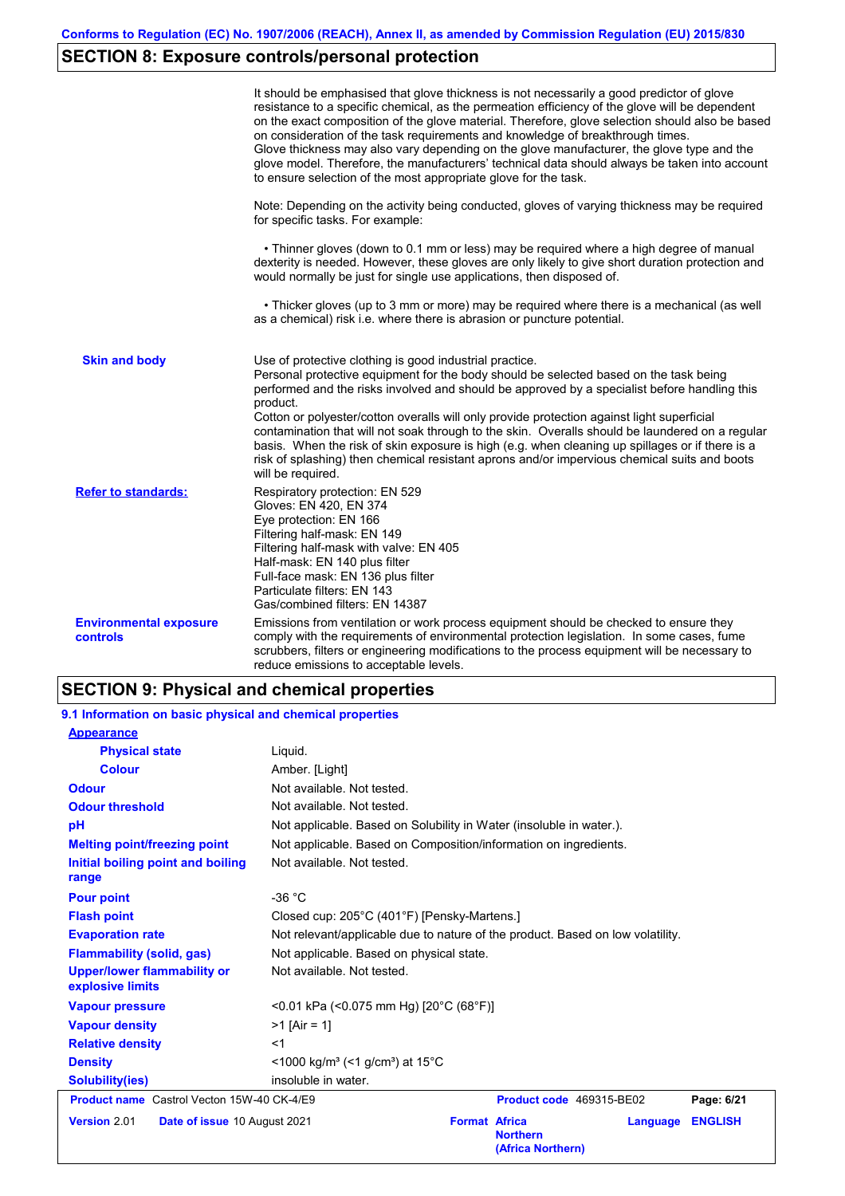# **SECTION 8: Exposure controls/personal protection**

|                                                  | It should be emphasised that glove thickness is not necessarily a good predictor of glove<br>resistance to a specific chemical, as the permeation efficiency of the glove will be dependent<br>on the exact composition of the glove material. Therefore, glove selection should also be based<br>on consideration of the task requirements and knowledge of breakthrough times.<br>Glove thickness may also vary depending on the glove manufacturer, the glove type and the<br>glove model. Therefore, the manufacturers' technical data should always be taken into account<br>to ensure selection of the most appropriate glove for the task.                                     |
|--------------------------------------------------|---------------------------------------------------------------------------------------------------------------------------------------------------------------------------------------------------------------------------------------------------------------------------------------------------------------------------------------------------------------------------------------------------------------------------------------------------------------------------------------------------------------------------------------------------------------------------------------------------------------------------------------------------------------------------------------|
|                                                  | Note: Depending on the activity being conducted, gloves of varying thickness may be required<br>for specific tasks. For example:                                                                                                                                                                                                                                                                                                                                                                                                                                                                                                                                                      |
|                                                  | • Thinner gloves (down to 0.1 mm or less) may be required where a high degree of manual<br>dexterity is needed. However, these gloves are only likely to give short duration protection and<br>would normally be just for single use applications, then disposed of.                                                                                                                                                                                                                                                                                                                                                                                                                  |
|                                                  | • Thicker gloves (up to 3 mm or more) may be required where there is a mechanical (as well<br>as a chemical) risk i.e. where there is abrasion or puncture potential.                                                                                                                                                                                                                                                                                                                                                                                                                                                                                                                 |
| <b>Skin and body</b>                             | Use of protective clothing is good industrial practice.<br>Personal protective equipment for the body should be selected based on the task being<br>performed and the risks involved and should be approved by a specialist before handling this<br>product.<br>Cotton or polyester/cotton overalls will only provide protection against light superficial<br>contamination that will not soak through to the skin. Overalls should be laundered on a regular<br>basis. When the risk of skin exposure is high (e.g. when cleaning up spillages or if there is a<br>risk of splashing) then chemical resistant aprons and/or impervious chemical suits and boots<br>will be required. |
| <b>Refer to standards:</b>                       | Respiratory protection: EN 529<br>Gloves: EN 420, EN 374<br>Eye protection: EN 166<br>Filtering half-mask: EN 149<br>Filtering half-mask with valve: EN 405<br>Half-mask: EN 140 plus filter<br>Full-face mask: EN 136 plus filter<br>Particulate filters: EN 143<br>Gas/combined filters: EN 14387                                                                                                                                                                                                                                                                                                                                                                                   |
| <b>Environmental exposure</b><br><b>controls</b> | Emissions from ventilation or work process equipment should be checked to ensure they<br>comply with the requirements of environmental protection legislation. In some cases, fume<br>scrubbers, filters or engineering modifications to the process equipment will be necessary to<br>reduce emissions to acceptable levels.                                                                                                                                                                                                                                                                                                                                                         |

# **SECTION 9: Physical and chemical properties**

| 9.1 Information on basic physical and chemical properties |                                                                                            |  |  |  |  |
|-----------------------------------------------------------|--------------------------------------------------------------------------------------------|--|--|--|--|
| <b>Appearance</b>                                         |                                                                                            |  |  |  |  |
| <b>Physical state</b>                                     | Liquid.                                                                                    |  |  |  |  |
| <b>Colour</b>                                             | Amber. [Light]                                                                             |  |  |  |  |
| <b>Odour</b>                                              | Not available. Not tested.                                                                 |  |  |  |  |
| <b>Odour threshold</b>                                    | Not available. Not tested.                                                                 |  |  |  |  |
| pH                                                        | Not applicable. Based on Solubility in Water (insoluble in water.).                        |  |  |  |  |
| <b>Melting point/freezing point</b>                       | Not applicable. Based on Composition/information on ingredients.                           |  |  |  |  |
| Initial boiling point and boiling<br>range                | Not available. Not tested.                                                                 |  |  |  |  |
| <b>Pour point</b>                                         | $-36 °C$                                                                                   |  |  |  |  |
| <b>Flash point</b>                                        | Closed cup: 205°C (401°F) [Pensky-Martens.]                                                |  |  |  |  |
| <b>Evaporation rate</b>                                   | Not relevant/applicable due to nature of the product. Based on low volatility.             |  |  |  |  |
| <b>Flammability (solid, gas)</b>                          | Not applicable. Based on physical state.                                                   |  |  |  |  |
| <b>Upper/lower flammability or</b><br>explosive limits    | Not available. Not tested.                                                                 |  |  |  |  |
| <b>Vapour pressure</b>                                    | <0.01 kPa (<0.075 mm Hg) [20°C (68°F)]                                                     |  |  |  |  |
| <b>Vapour density</b>                                     | $>1$ [Air = 1]                                                                             |  |  |  |  |
| <b>Relative density</b>                                   | $<$ 1                                                                                      |  |  |  |  |
| <b>Density</b>                                            | <1000 kg/m <sup>3</sup> (<1 g/cm <sup>3</sup> ) at 15 <sup>°</sup> C                       |  |  |  |  |
| <b>Solubility(ies)</b>                                    | insoluble in water.                                                                        |  |  |  |  |
| <b>Product name</b> Castrol Vecton 15W-40 CK-4/E9         | Product code 469315-BE02<br>Page: 6/21                                                     |  |  |  |  |
| Version 2.01<br>Date of issue 10 August 2021              | <b>Format Africa</b><br><b>ENGLISH</b><br>Language<br><b>Northern</b><br>(Africa Northern) |  |  |  |  |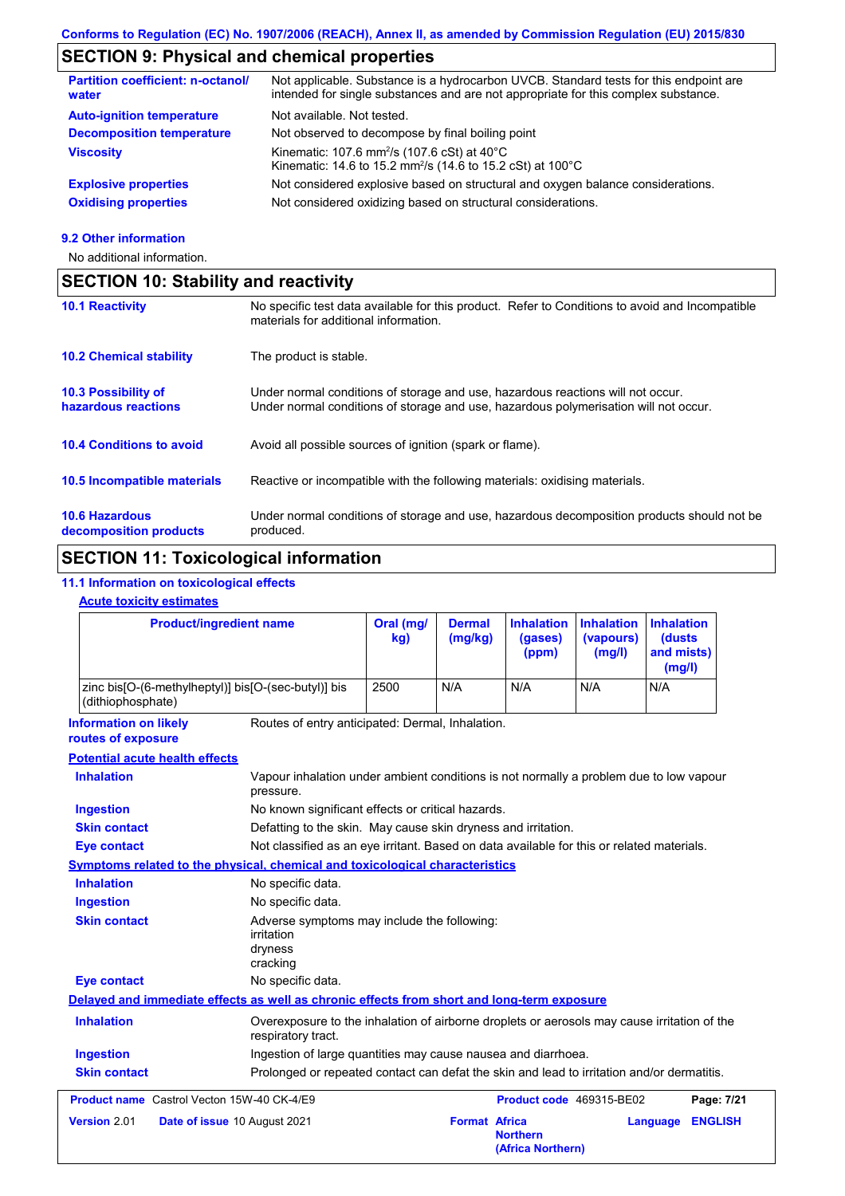# **SECTION 9: Physical and chemical properties**

| <b>Partition coefficient: n-octanol/</b><br>water | Not applicable. Substance is a hydrocarbon UVCB. Standard tests for this endpoint are<br>intended for single substances and are not appropriate for this complex substance. |
|---------------------------------------------------|-----------------------------------------------------------------------------------------------------------------------------------------------------------------------------|
| <b>Auto-ignition temperature</b>                  | Not available. Not tested.                                                                                                                                                  |
| <b>Decomposition temperature</b>                  | Not observed to decompose by final boiling point                                                                                                                            |
| <b>Viscosity</b>                                  | Kinematic: 107.6 mm <sup>2</sup> /s (107.6 cSt) at $40^{\circ}$ C<br>Kinematic: 14.6 to 15.2 mm <sup>2</sup> /s (14.6 to 15.2 cSt) at 100°C                                 |
| <b>Explosive properties</b>                       | Not considered explosive based on structural and oxygen balance considerations.                                                                                             |
| <b>Oxidising properties</b>                       | Not considered oxidizing based on structural considerations.                                                                                                                |

#### **9.2 Other information**

No additional information.

| <b>SECTION 10: Stability and reactivity</b>     |                                                                                                                                                                         |  |  |  |
|-------------------------------------------------|-------------------------------------------------------------------------------------------------------------------------------------------------------------------------|--|--|--|
| <b>10.1 Reactivity</b>                          | No specific test data available for this product. Refer to Conditions to avoid and Incompatible<br>materials for additional information.                                |  |  |  |
| <b>10.2 Chemical stability</b>                  | The product is stable.                                                                                                                                                  |  |  |  |
| 10.3 Possibility of<br>hazardous reactions      | Under normal conditions of storage and use, hazardous reactions will not occur.<br>Under normal conditions of storage and use, hazardous polymerisation will not occur. |  |  |  |
| <b>10.4 Conditions to avoid</b>                 | Avoid all possible sources of ignition (spark or flame).                                                                                                                |  |  |  |
| <b>10.5 Incompatible materials</b>              | Reactive or incompatible with the following materials: oxidising materials.                                                                                             |  |  |  |
| <b>10.6 Hazardous</b><br>decomposition products | Under normal conditions of storage and use, hazardous decomposition products should not be<br>produced.                                                                 |  |  |  |

# **SECTION 11: Toxicological information**

## **11.1 Information on toxicological effects**

### **Acute toxicity estimates**

|                                                                                            | <b>Product/ingredient name</b>                                                                                    | Oral (mg/<br>kg)                                                                          | <b>Dermal</b><br>(mg/kg) | <b>Inhalation</b><br>(gases)<br>(ppm) | <b>Inhalation</b><br>(vapours)<br>(mg/l) | <b>Inhalation</b><br>(dusts<br>and mists)<br>(mg/l) |                |
|--------------------------------------------------------------------------------------------|-------------------------------------------------------------------------------------------------------------------|-------------------------------------------------------------------------------------------|--------------------------|---------------------------------------|------------------------------------------|-----------------------------------------------------|----------------|
| zinc bis[O-(6-methylheptyl)] bis[O-(sec-butyl)] bis<br>(dithiophosphate)                   |                                                                                                                   | 2500                                                                                      | N/A                      | N/A                                   | N/A                                      | N/A                                                 |                |
| <b>Information on likely</b><br>routes of exposure                                         | Routes of entry anticipated: Dermal, Inhalation.                                                                  |                                                                                           |                          |                                       |                                          |                                                     |                |
| <b>Potential acute health effects</b>                                                      |                                                                                                                   |                                                                                           |                          |                                       |                                          |                                                     |                |
| <b>Inhalation</b>                                                                          | Vapour inhalation under ambient conditions is not normally a problem due to low vapour<br>pressure.               |                                                                                           |                          |                                       |                                          |                                                     |                |
| <b>Ingestion</b>                                                                           | No known significant effects or critical hazards.                                                                 |                                                                                           |                          |                                       |                                          |                                                     |                |
| <b>Skin contact</b>                                                                        |                                                                                                                   | Defatting to the skin. May cause skin dryness and irritation.                             |                          |                                       |                                          |                                                     |                |
| <b>Eye contact</b>                                                                         |                                                                                                                   | Not classified as an eye irritant. Based on data available for this or related materials. |                          |                                       |                                          |                                                     |                |
| Symptoms related to the physical, chemical and toxicological characteristics               |                                                                                                                   |                                                                                           |                          |                                       |                                          |                                                     |                |
| <b>Inhalation</b>                                                                          | No specific data.                                                                                                 |                                                                                           |                          |                                       |                                          |                                                     |                |
| <b>Ingestion</b>                                                                           | No specific data.                                                                                                 |                                                                                           |                          |                                       |                                          |                                                     |                |
| <b>Skin contact</b>                                                                        | Adverse symptoms may include the following:<br>irritation<br>dryness<br>cracking                                  |                                                                                           |                          |                                       |                                          |                                                     |                |
| <b>Eye contact</b>                                                                         | No specific data.                                                                                                 |                                                                                           |                          |                                       |                                          |                                                     |                |
| Delayed and immediate effects as well as chronic effects from short and long-term exposure |                                                                                                                   |                                                                                           |                          |                                       |                                          |                                                     |                |
| <b>Inhalation</b>                                                                          | Overexposure to the inhalation of airborne droplets or aerosols may cause irritation of the<br>respiratory tract. |                                                                                           |                          |                                       |                                          |                                                     |                |
| <b>Ingestion</b>                                                                           |                                                                                                                   | Ingestion of large quantities may cause nausea and diarrhoea.                             |                          |                                       |                                          |                                                     |                |
| <b>Skin contact</b>                                                                        | Prolonged or repeated contact can defat the skin and lead to irritation and/or dermatitis.                        |                                                                                           |                          |                                       |                                          |                                                     |                |
| <b>Product name</b> Castrol Vecton 15W-40 CK-4/E9                                          |                                                                                                                   |                                                                                           |                          | Product code 469315-BE02              |                                          |                                                     | Page: 7/21     |
| Version 2.01                                                                               | Date of issue 10 August 2021                                                                                      |                                                                                           | <b>Format Africa</b>     | <b>Northern</b><br>(Africa Northern)  |                                          | Language                                            | <b>ENGLISH</b> |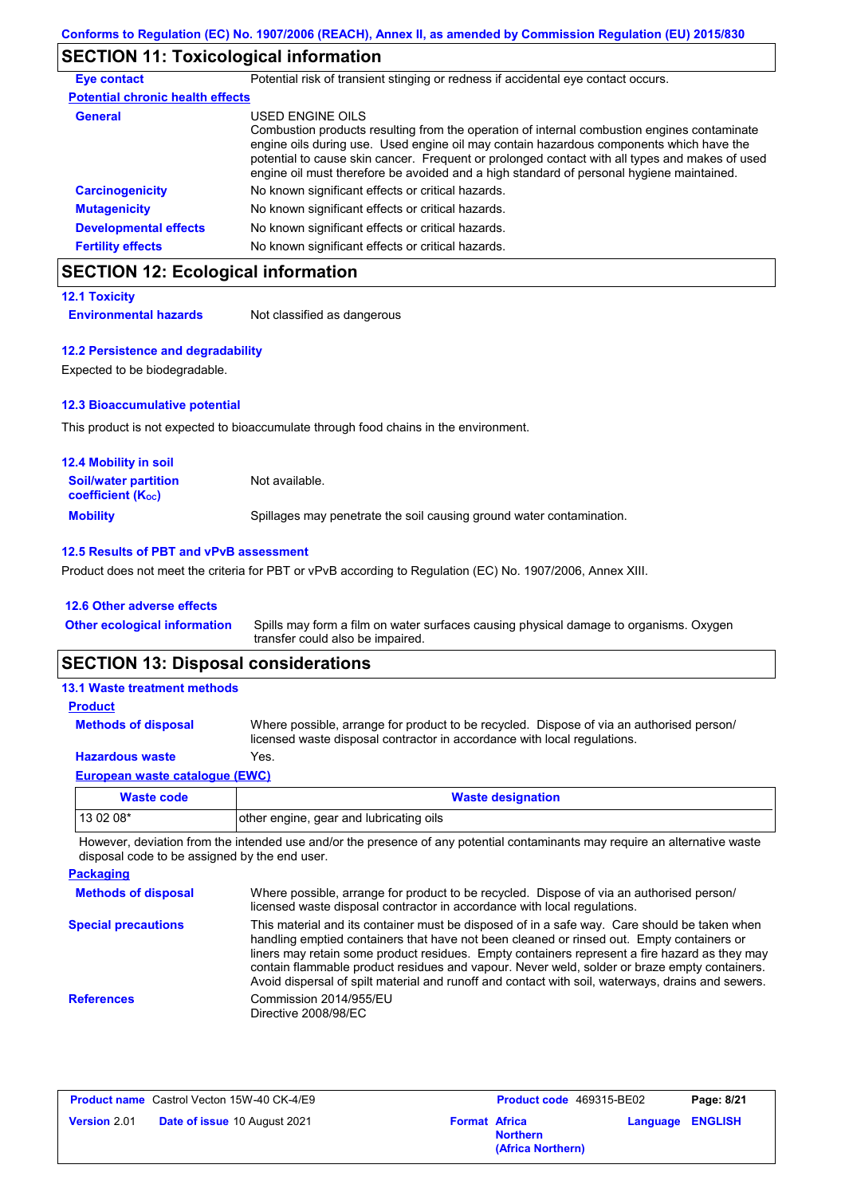## **SECTION 11: Toxicological information**

| <b>Eye contact</b>                      | Potential risk of transient stinging or redness if accidental eye contact occurs.                                                                                                                                                                                                                                                                                                                        |
|-----------------------------------------|----------------------------------------------------------------------------------------------------------------------------------------------------------------------------------------------------------------------------------------------------------------------------------------------------------------------------------------------------------------------------------------------------------|
| <b>Potential chronic health effects</b> |                                                                                                                                                                                                                                                                                                                                                                                                          |
| <b>General</b>                          | USED ENGINE OILS<br>Combustion products resulting from the operation of internal combustion engines contaminate<br>engine oils during use. Used engine oil may contain hazardous components which have the<br>potential to cause skin cancer. Frequent or prolonged contact with all types and makes of used<br>engine oil must therefore be avoided and a high standard of personal hygiene maintained. |
| <b>Carcinogenicity</b>                  | No known significant effects or critical hazards.                                                                                                                                                                                                                                                                                                                                                        |
| <b>Mutagenicity</b>                     | No known significant effects or critical hazards.                                                                                                                                                                                                                                                                                                                                                        |
| <b>Developmental effects</b>            | No known significant effects or critical hazards.                                                                                                                                                                                                                                                                                                                                                        |
| <b>Fertility effects</b>                | No known significant effects or critical hazards.                                                                                                                                                                                                                                                                                                                                                        |

# **SECTION 12: Ecological information**

**12.1 Toxicity**

**Environmental hazards** Not classified as dangerous

#### **12.2 Persistence and degradability**

Expected to be biodegradable.

### **12.3 Bioaccumulative potential**

This product is not expected to bioaccumulate through food chains in the environment.

| <b>12.4 Mobility in soil</b>                            |                                                                      |
|---------------------------------------------------------|----------------------------------------------------------------------|
| <b>Soil/water partition</b><br><b>coefficient (Koc)</b> | Not available.                                                       |
| <b>Mobility</b>                                         | Spillages may penetrate the soil causing ground water contamination. |

## **12.5 Results of PBT and vPvB assessment**

Product does not meet the criteria for PBT or vPvB according to Regulation (EC) No. 1907/2006, Annex XIII.

#### **12.6 Other adverse effects**

| <b>Other ecological information</b> | Spills may form a film on water surfaces causing physical damage to organisms. Oxygen |
|-------------------------------------|---------------------------------------------------------------------------------------|
|                                     | transfer could also be impaired.                                                      |

## **SECTION 13: Disposal considerations**

## **European waste catalogue (EWC) Hazardous waste** Yes. Where possible, arrange for product to be recycled. Dispose of via an authorised person/ licensed waste disposal contractor in accordance with local regulations. **Methods of disposal 13.1 Waste treatment methods Product**

| Waste code | <b>Waste designation</b>                |
|------------|-----------------------------------------|
| 13 02 08*  | other engine, gear and lubricating oils |

However, deviation from the intended use and/or the presence of any potential contaminants may require an alternative waste disposal code to be assigned by the end user.

| <b>Packaging</b>           |                                                                                                                                                                                                                                                                                                                                                                                                                                                                                                 |
|----------------------------|-------------------------------------------------------------------------------------------------------------------------------------------------------------------------------------------------------------------------------------------------------------------------------------------------------------------------------------------------------------------------------------------------------------------------------------------------------------------------------------------------|
| <b>Methods of disposal</b> | Where possible, arrange for product to be recycled. Dispose of via an authorised person/<br>licensed waste disposal contractor in accordance with local regulations.                                                                                                                                                                                                                                                                                                                            |
| <b>Special precautions</b> | This material and its container must be disposed of in a safe way. Care should be taken when<br>handling emptied containers that have not been cleaned or rinsed out. Empty containers or<br>liners may retain some product residues. Empty containers represent a fire hazard as they may<br>contain flammable product residues and vapour. Never weld, solder or braze empty containers.<br>Avoid dispersal of spilt material and runoff and contact with soil, waterways, drains and sewers. |
| <b>References</b>          | Commission 2014/955/EU<br>Directive 2008/98/EC                                                                                                                                                                                                                                                                                                                                                                                                                                                  |

| <b>Product name</b> Castrol Vecton 15W-40 CK-4/E9 |                                     | Product code 469315-BE02 |                                      | Page: 8/21              |  |
|---------------------------------------------------|-------------------------------------|--------------------------|--------------------------------------|-------------------------|--|
| <b>Version 2.01</b>                               | <b>Date of issue 10 August 2021</b> | <b>Format Africa</b>     | <b>Northern</b><br>(Africa Northern) | <b>Language ENGLISH</b> |  |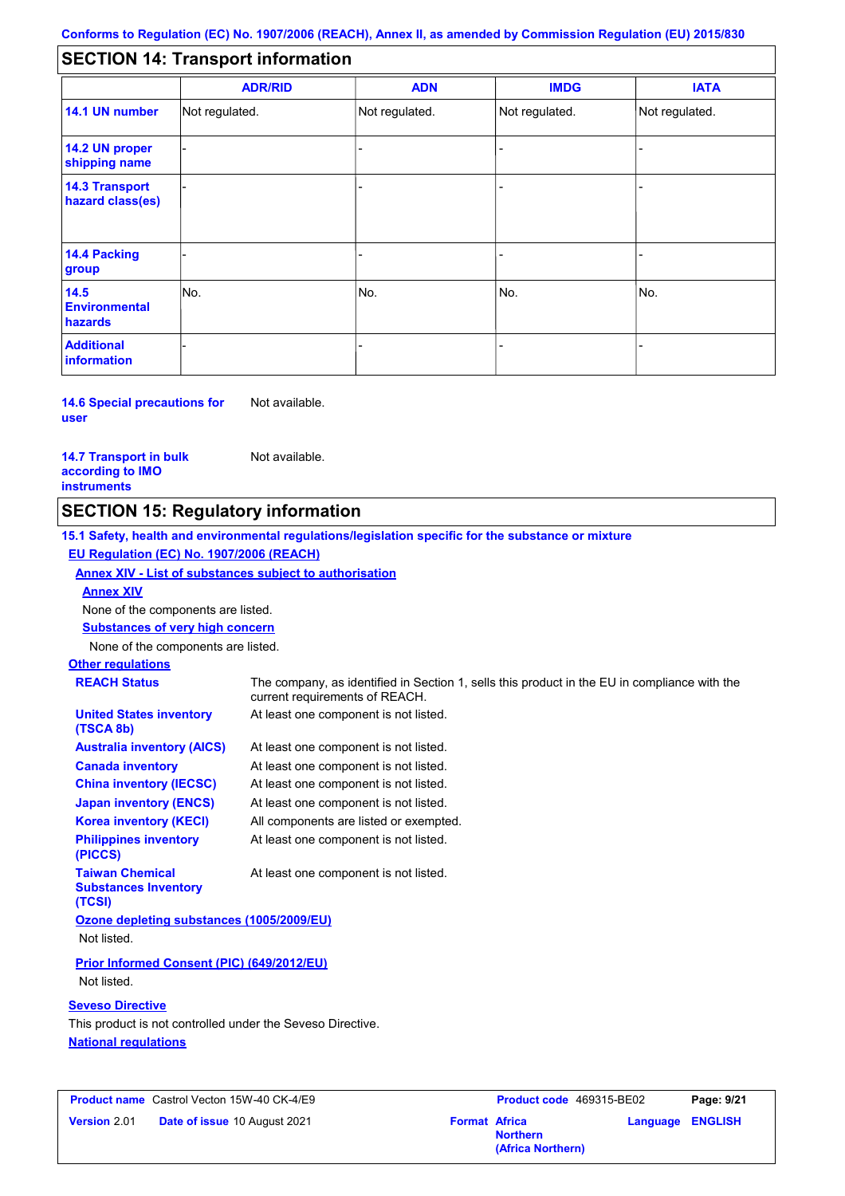#### - - - - - - - - - Not regulated. Not regulated. Not regulated. - - - **SECTION 14: Transport information ADR/RID IMDG IATA 14.1 UN number 14.2 UN proper shipping name 14.3 Transport hazard class(es) 14.4 Packing group ADN Additional information 14.5 Environmental hazards** No. 1980 | No. 1980 | No. 1980 | No. 1980 | No. 1980 | No. 1980 | No. 1980 | No. 1980 | No. 1980 | No. 1980 | Not regulated. - No. - -

#### **14.6 Special precautions for user** Not available.

#### **14.7 Transport in bulk according to IMO instruments**

Not available.

## **SECTION 15: Regulatory information**

**15.1 Safety, health and environmental regulations/legislation specific for the substance or mixture EU Regulation (EC) No. 1907/2006 (REACH)**

### **Annex XIV - List of substances subject to authorisation**

**Annex XIV**

None of the components are listed.

**Substances of very high concern**

None of the components are listed.

## **Other regulations**

| <b>REACH Status</b>                                             | The company, as identified in Section 1, sells this product in the EU in compliance with the<br>current requirements of REACH. |  |  |  |
|-----------------------------------------------------------------|--------------------------------------------------------------------------------------------------------------------------------|--|--|--|
| <b>United States inventory</b><br>(TSCA 8b)                     | At least one component is not listed.                                                                                          |  |  |  |
| <b>Australia inventory (AICS)</b>                               | At least one component is not listed.                                                                                          |  |  |  |
| <b>Canada inventory</b>                                         | At least one component is not listed.                                                                                          |  |  |  |
| <b>China inventory (IECSC)</b>                                  | At least one component is not listed.                                                                                          |  |  |  |
| <b>Japan inventory (ENCS)</b>                                   | At least one component is not listed.                                                                                          |  |  |  |
| <b>Korea inventory (KECI)</b>                                   | All components are listed or exempted.                                                                                         |  |  |  |
| <b>Philippines inventory</b><br>(PICCS)                         | At least one component is not listed.                                                                                          |  |  |  |
| <b>Taiwan Chemical</b><br><b>Substances Inventory</b><br>(TCSI) | At least one component is not listed.                                                                                          |  |  |  |
| Ozone depleting substances (1005/2009/EU)                       |                                                                                                                                |  |  |  |
| Not listed.                                                     |                                                                                                                                |  |  |  |
| Prior Informed Consent (PIC) (649/2012/EU)                      |                                                                                                                                |  |  |  |

Not listed.

### **Seveso Directive**

**National regulations** This product is not controlled under the Seveso Directive.

|                     | <b>Product name</b> Castrol Vecton 15W-40 CK-4/E9 |                      | <b>Product co</b> |
|---------------------|---------------------------------------------------|----------------------|-------------------|
| <b>Version 2.01</b> | <b>Date of issue 10 August 2021</b>               | <b>Format Africa</b> |                   |

| Castrol Vecton 15W-40 CK-4/E9       |                      | Product code 469315-BE02 |                         | Page: 9/21 |
|-------------------------------------|----------------------|--------------------------|-------------------------|------------|
| <b>Date of issue 10 August 2021</b> | <b>Format Africa</b> | <b>Northern</b>          | <b>Language ENGLISH</b> |            |
|                                     |                      | (Africa Northern)        |                         |            |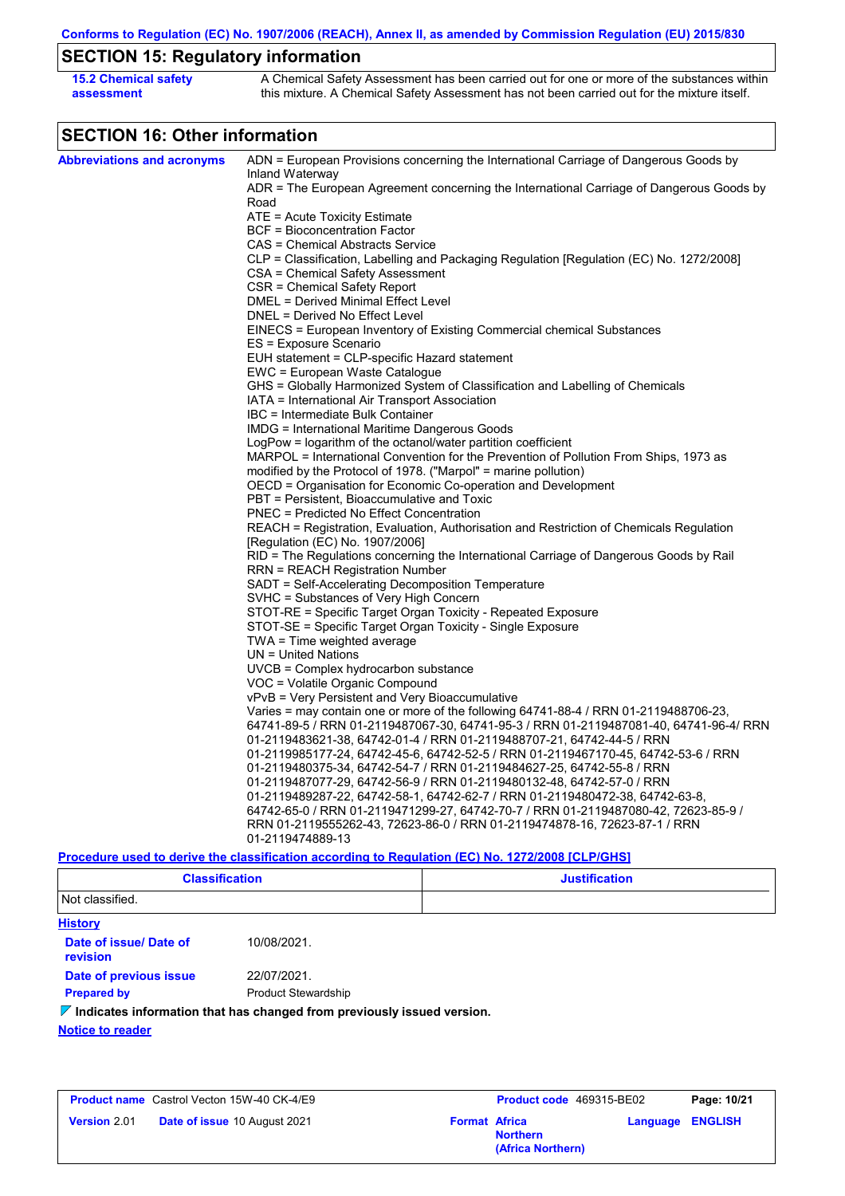# **SECTION 15: Regulatory information**

| <b>15.2 Chemical safety</b> | A Chemical Safety Assessment has been carried out for one or more of the substances within  |
|-----------------------------|---------------------------------------------------------------------------------------------|
| assessment                  | this mixture. A Chemical Safety Assessment has not been carried out for the mixture itself. |

# **SECTION 16: Other information**

| <b>Abbreviations and acronyms</b> | ADN = European Provisions concerning the International Carriage of Dangerous Goods by                       |
|-----------------------------------|-------------------------------------------------------------------------------------------------------------|
|                                   | Inland Waterway<br>ADR = The European Agreement concerning the International Carriage of Dangerous Goods by |
|                                   | Road                                                                                                        |
|                                   | ATE = Acute Toxicity Estimate                                                                               |
|                                   | <b>BCF</b> = Bioconcentration Factor                                                                        |
|                                   | CAS = Chemical Abstracts Service                                                                            |
|                                   | CLP = Classification, Labelling and Packaging Regulation [Regulation (EC) No. 1272/2008]                    |
|                                   | CSA = Chemical Safety Assessment                                                                            |
|                                   | CSR = Chemical Safety Report                                                                                |
|                                   | DMEL = Derived Minimal Effect Level                                                                         |
|                                   | DNEL = Derived No Effect Level                                                                              |
|                                   | EINECS = European Inventory of Existing Commercial chemical Substances                                      |
|                                   | ES = Exposure Scenario                                                                                      |
|                                   | EUH statement = CLP-specific Hazard statement<br>EWC = European Waste Catalogue                             |
|                                   | GHS = Globally Harmonized System of Classification and Labelling of Chemicals                               |
|                                   | IATA = International Air Transport Association                                                              |
|                                   | IBC = Intermediate Bulk Container                                                                           |
|                                   | IMDG = International Maritime Dangerous Goods                                                               |
|                                   | LogPow = logarithm of the octanol/water partition coefficient                                               |
|                                   | MARPOL = International Convention for the Prevention of Pollution From Ships, 1973 as                       |
|                                   | modified by the Protocol of 1978. ("Marpol" = marine pollution)                                             |
|                                   | OECD = Organisation for Economic Co-operation and Development                                               |
|                                   | PBT = Persistent, Bioaccumulative and Toxic                                                                 |
|                                   | <b>PNEC = Predicted No Effect Concentration</b>                                                             |
|                                   | REACH = Registration, Evaluation, Authorisation and Restriction of Chemicals Regulation                     |
|                                   | [Regulation (EC) No. 1907/2006]                                                                             |
|                                   | RID = The Regulations concerning the International Carriage of Dangerous Goods by Rail                      |
|                                   | RRN = REACH Registration Number                                                                             |
|                                   | SADT = Self-Accelerating Decomposition Temperature                                                          |
|                                   | SVHC = Substances of Very High Concern                                                                      |
|                                   | STOT-RE = Specific Target Organ Toxicity - Repeated Exposure                                                |
|                                   | STOT-SE = Specific Target Organ Toxicity - Single Exposure                                                  |
|                                   | $TWA = Time weighted average$<br>$UN = United Nations$                                                      |
|                                   | UVCB = Complex hydrocarbon substance                                                                        |
|                                   | VOC = Volatile Organic Compound                                                                             |
|                                   | vPvB = Very Persistent and Very Bioaccumulative                                                             |
|                                   | Varies = may contain one or more of the following 64741-88-4 / RRN 01-2119488706-23,                        |
|                                   | 64741-89-5 / RRN 01-2119487067-30, 64741-95-3 / RRN 01-2119487081-40, 64741-96-4/ RRN                       |
|                                   | 01-2119483621-38, 64742-01-4 / RRN 01-2119488707-21, 64742-44-5 / RRN                                       |
|                                   | 01-2119985177-24, 64742-45-6, 64742-52-5 / RRN 01-2119467170-45, 64742-53-6 / RRN                           |
|                                   | 01-2119480375-34, 64742-54-7 / RRN 01-2119484627-25, 64742-55-8 / RRN                                       |
|                                   | 01-2119487077-29, 64742-56-9 / RRN 01-2119480132-48, 64742-57-0 / RRN                                       |
|                                   | 01-2119489287-22, 64742-58-1, 64742-62-7 / RRN 01-2119480472-38, 64742-63-8,                                |
|                                   | 64742-65-0 / RRN 01-2119471299-27, 64742-70-7 / RRN 01-2119487080-42, 72623-85-9 /                          |
|                                   | RRN 01-2119555262-43, 72623-86-0 / RRN 01-2119474878-16, 72623-87-1 / RRN                                   |
|                                   | 01-2119474889-13                                                                                            |
|                                   | Procedure used to derive the classification according to Regulation (EC) No. 1272/2008 [CLP/GHS]            |

| <b>Classification</b> | <b>Justification</b> |
|-----------------------|----------------------|
| Not classified.       |                      |

| <b>History</b>                     |                                                                                        |
|------------------------------------|----------------------------------------------------------------------------------------|
| Date of issue/ Date of<br>revision | 10/08/2021                                                                             |
| Date of previous issue             | 22/07/2021.                                                                            |
| <b>Prepared by</b>                 | <b>Product Stewardship</b>                                                             |
|                                    | $\triangledown$ Indicates information that has changed from previously issued version. |
| <b>Notice to reader</b>            |                                                                                        |

|                     | <b>Product name</b> Castrol Vecton 15W-40 CK-4/E9 |                      | <b>Product code</b> 469315-BE02      | Page: 10/21      |
|---------------------|---------------------------------------------------|----------------------|--------------------------------------|------------------|
| <b>Version 2.01</b> | Date of issue 10 August 2021                      | <b>Format Africa</b> | <b>Northern</b><br>(Africa Northern) | Language ENGLISH |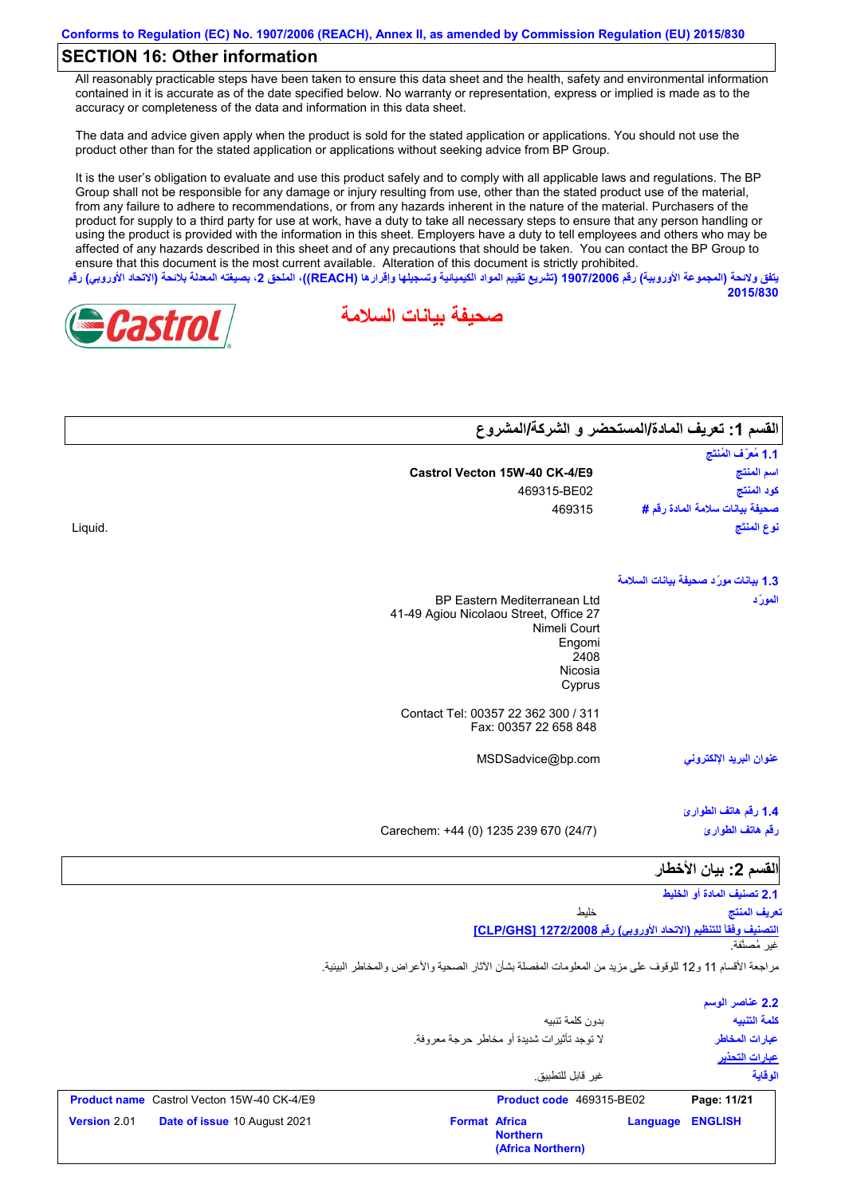## **SECTION 16: Other information**

All reasonably practicable steps have been taken to ensure this data sheet and the health, safety and environmental information contained in it is accurate as of the date specified below. No warranty or representation, express or implied is made as to the accuracy or completeness of the data and information in this data sheet.

The data and advice given apply when the product is sold for the stated application or applications. You should not use the product other than for the stated application or applications without seeking advice from BP Group.

It is the user's obligation to evaluate and use this product safely and to comply with all applicable laws and regulations. The BP Group shall not be responsible for any damage or injury resulting from use, other than the stated product use of the material, from any failure to adhere to recommendations, or from any hazards inherent in the nature of the material. Purchasers of the product for supply to a third party for use at work, have a duty to take all necessary steps to ensure that any person handling or using the product is provided with the information in this sheet. Employers have a duty to tell employees and others who may be affected of any hazards described in this sheet and of any precautions that should be taken. You can contact the BP Group to ensure that this document is the most current available. Alteration of this document is strictly prohibited. **یتفق ولائحة (المجموعة الأوروبیة) رقم 1907/2006 (تشریع تقییم المواد الكیمیائیة وتسجیلھا وإقرارھا (REACH((، الملحق ،2 بصیغتھ المعدلة بلائحة (الاتحاد الأوروبي) رقم**

**صحیفة بیانات السلامة**



|         |                                                                        | القسم 1: تعريف المادة/المستحضر و الشركة/المشروع |
|---------|------------------------------------------------------------------------|-------------------------------------------------|
|         |                                                                        | 1.1 مُعرَّف المُنتَج                            |
|         | Castrol Vecton 15W-40 CK-4/E9                                          | اسم المنتج                                      |
|         | 469315-BE02                                                            | كود المنتج                                      |
|         | 469315                                                                 | صحيفة بيانات سلامة المادة رقم #                 |
| Liquid. |                                                                        | نوع المنتَج                                     |
|         |                                                                        | 1.3 بيانات مورّد صحيفة بيانات السلامة           |
|         | BP Eastern Mediterranean Ltd<br>41-49 Agiou Nicolaou Street, Office 27 | المورّد                                         |

| BP Eastern Mediterranean Ltd           |
|----------------------------------------|
| 41-49 Agiou Nicolaou Street, Office 27 |
| Nimeli Court                           |
| Engomi                                 |
| 2408                                   |
| Nicosia                                |
| Cyprus                                 |
| Contact Tel: 00357 22 362 300 / 311    |
| Fax: 00357 22 658 848                  |

**عنوان البرید الإلكتروني**

**2015/830**

**1.4 رقم ھاتف الطوارئ رقم ھاتف الطوارئ**

Carechem: +44 (0) 1235 239 670 (24/7)

MSDSadvice@bp.com

## **القسم :2 بیان الأخطار**

**2.1 تصنیف المادة أو الخلیط**

**التصنیف وفقاً للتنظیم (الاتحاد الأوروبي) رقم 1272/2008 [GHS/CLP[** خلیط غیر مُصنَّفة. **تعریف المنتج**

مراجعة الأقسام 11 و12 للوقوف على مزید من المعلومات المفصلة بشأن الآثار الصحیة والأعراض والمخاطر البیئیة.

|                                                     |                                                                          | 2.2 عناصر الوسم |
|-----------------------------------------------------|--------------------------------------------------------------------------|-----------------|
|                                                     | بدون كلمة تنيبه                                                          | كلمة التنبيه    |
|                                                     | لا توجد تأثير ات شديدة أو مخاطر حرجة معر وفة ِ                           | عبار ات المخاطر |
|                                                     |                                                                          | عبارات التحذير  |
|                                                     | غبر قابل للتطبيق                                                         | الوقاية         |
| <b>Product name</b> Castrol Vecton 15W-40 CK-4/E9   | Product code 469315-BE02                                                 | Page: 11/21     |
| <b>Version 2.01</b><br>Date of issue 10 August 2021 | <b>Format Africa</b><br>Language<br><b>Northern</b><br>(Africa Northern) | <b>ENGLISH</b>  |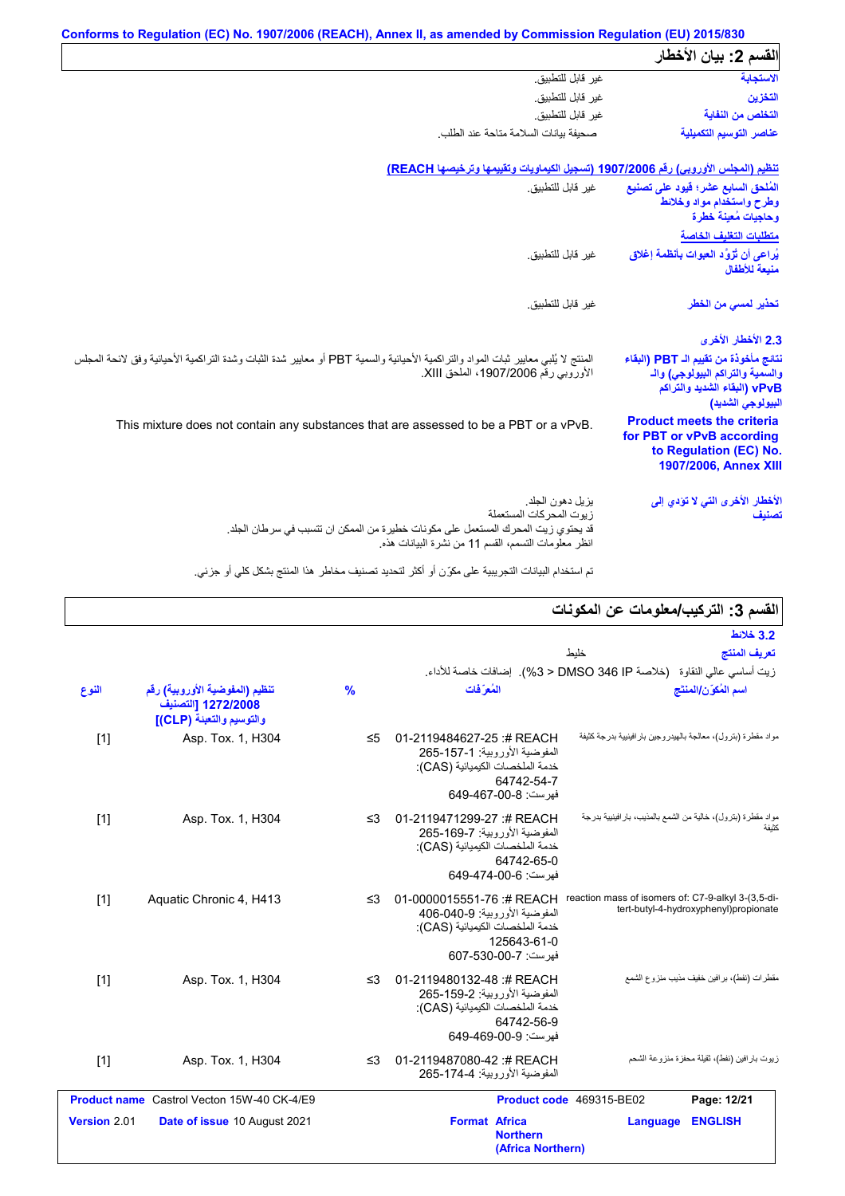|                                                                                                                                | Conforms to Regulation (EC) No. 1907/2006 (REACH), Annex II, as amended by Commission Regulation (EU) 2015/830                                                                               |
|--------------------------------------------------------------------------------------------------------------------------------|----------------------------------------------------------------------------------------------------------------------------------------------------------------------------------------------|
| القسم 2: بيان الأخطار                                                                                                          |                                                                                                                                                                                              |
| الاستجابة                                                                                                                      | غير قابل للتطبيق.                                                                                                                                                                            |
| التخزين                                                                                                                        | غير قابل للتطبيق.                                                                                                                                                                            |
| التخلص من النفاية                                                                                                              | غير قابل للتطبيق.                                                                                                                                                                            |
| عناصر التوسيم التكميلية                                                                                                        | صحبفة ببانات السلامة متاحة عند الطلب                                                                                                                                                         |
|                                                                                                                                | تنظيم (المجلس الأوروبي) رقم 1907/2006 (تسجيل الكيماويات وتقييمها وترخيصها REACH)                                                                                                             |
| المُلحق السابع عشر؛ قيود على تصنيع<br>وطرح واستخدام مواد وخلائط<br>وحاجيات مُعينة خطرة                                         | غير قابل للتطبيق.                                                                                                                                                                            |
| متطلبات التغليف الخاصة                                                                                                         |                                                                                                                                                                                              |
| يُراعى أن تُزوَّد العبوات بِأنظمة إغلاق<br>منيعة للأطفال                                                                       | غير قابل للتطبيق.                                                                                                                                                                            |
| تحذير لم <i>سى</i> من الخطر                                                                                                    | غير قابل للتطبيق.                                                                                                                                                                            |
| 2.3 الأخطار الأخرى                                                                                                             |                                                                                                                                                                                              |
| نتائج مأخوذة من تقييم الـ PBT (البقاء<br>والسمية والتراكم البيولوجي) والـ<br>vPvB (البقاء الشديد والتراكم<br>البيولوجي الشديد) | المنتج لا يُلبي معايير ثبات المواد والتراكمية الأحيائية والسمية PBT أو معايير شدة الثبات وشدة التراكمية الأحيائية وفق لائحة المجلس<br>الأوروبي رقم 1907/2006، الملحق XIII.                   |
| <b>Product meets the criteria</b><br>for PBT or vPvB according<br>to Regulation (EC) No.<br>1907/2006, Annex XIII              | This mixture does not contain any substances that are assessed to be a PBT or a vPvB.                                                                                                        |
| الأخطار الأخرى التي لا تؤدي إلى<br>تصنيف                                                                                       | يز بل دهون الجلد.<br>ز بوت المحر كات المستعملة<br>قد يحتو ي زيت المحر ك المستعمل على مكونات خطيرة من الممكن ان تتسبب في سر طان الجلد.<br>انظر معلومات التسمم، القسم 11 من نشرة البيانات هذه. |

تم استخدام البیانات التجریبیة على مكوِّن أو أكثر لتحدید تصنیف مخاطر ھذا المنتج بشكل كلي أو جزئي.

|  | القسم 3: التركيب/معلومات عن المكونات |  |
|--|--------------------------------------|--|
|  |                                      |  |

|              |                                                                                  |               |                                                                                                                                       |                                                                | - ما المراج <del>ب المعرب</del>                |
|--------------|----------------------------------------------------------------------------------|---------------|---------------------------------------------------------------------------------------------------------------------------------------|----------------------------------------------------------------|------------------------------------------------|
|              |                                                                                  |               |                                                                                                                                       |                                                                | 3.2 خلائط                                      |
|              |                                                                                  |               |                                                                                                                                       | خليط                                                           | تعريف المنتج                                   |
|              |                                                                                  |               | زيت أساسي عالي النقاوة   (خلاصة DMSO 346 IP < 3%).  إضافات خاصة للأداء.                                                               |                                                                |                                                |
| النوع        | تنظيم (المفوضية الأوروبية) رقم<br>1272/2008 [التصنيف<br>والتوسيم والتعبنة (CLP)] | $\frac{9}{6}$ | المُعرَفات                                                                                                                            |                                                                | اسم المُكوّن/المنتَج                           |
| $[1]$        | Asp. Tox. 1, H304                                                                | $\leq 5$      | 01-2119484627-25:# REACH<br>المفوضية الأوروبية: 1-157-265<br>خدمة الملخصات الكيميائية (CAS):<br>64742-54-7<br>فهرست: 8-00-467-649     | مواد مقطرة (بترول)، معالجة بالهيدروجين بار افينيية بدرجة كثيفة |                                                |
| $[1]$        | Asp. Tox. 1, H304                                                                | $\leq$ 3      | 01-2119471299-27 :# REACH<br>المفوضية الأور وبية: 7-169-265<br>خدمة الملخصات الكيميائية (CAS):<br>64742-65-0<br>فهرست: 6-00-474-649   | مواد مقطرة (بترول)، خالية من الشمع بالمذيب، بار افينيية بدرجة  | كثبفة                                          |
| $[1]$        | Aquatic Chronic 4, H413                                                          | $\leq$ 3      | 01-0000015551-76 :# REACH<br>المفوضية الأوروبية: 9-040-406<br>خدمة الملخصات الكيميائية (CAS):<br>125643-61-0<br>فهرست: 7-607-530-607  | reaction mass of isomers of: C7-9-alkyl 3-(3,5-di-             | tert-butyl-4-hydroxyphenyl)propionate          |
| $[1]$        | Asp. Tox. 1, H304                                                                | $\leq$ 3      | 01-2119480132-48 :# REACH<br>المفوضية الأور وبية: 2-159-265<br>خدمة الملخصات الكيميائية (CAS):<br>64742-56-9<br>فهرست: 649-469-00-649 |                                                                | مقطر ات (نفط)، بر افین خفیف مذیب منز و ع الشمع |
| $[1]$        | Asp. Tox. 1, H304                                                                | $\leq$ 3      | 01-2119487080-42 :# REACH<br>المفوضية الأوروبية: 174-4-265                                                                            |                                                                | زيوت بارافين (نفط)، ثقيلة محفزة منزوعة الشحم   |
|              | <b>Product name</b> Castrol Vecton 15W-40 CK-4/E9                                |               |                                                                                                                                       | Product code 469315-BE02                                       | Page: 12/21                                    |
| Version 2.01 | Date of issue 10 August 2021                                                     |               | <b>Format Africa</b><br><b>Northern</b><br>(Africa Northern)                                                                          | Language                                                       | <b>ENGLISH</b>                                 |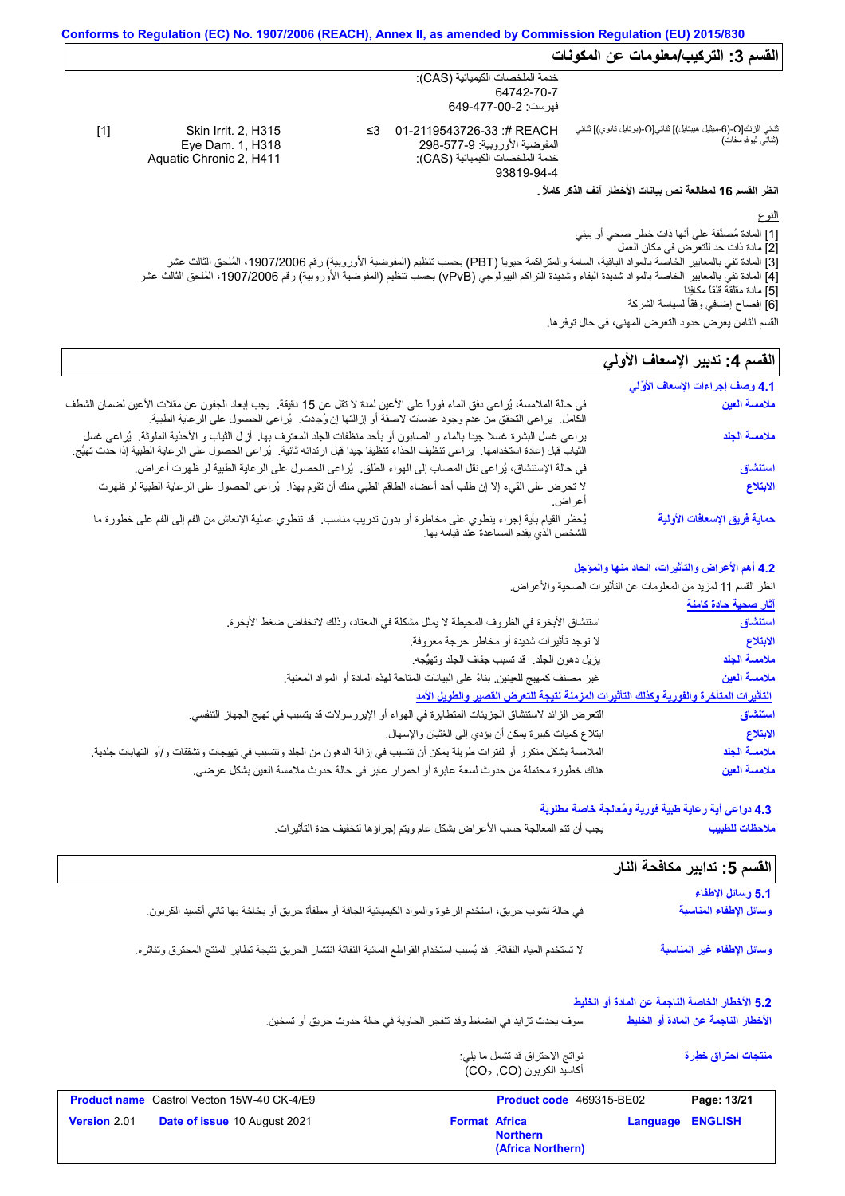**انظر القسم 16 لمطالعة نص بیانات الأخطار آنف الذكر كاملاً .**

النوع

[1] المادة مُصنَّفة على أنھا ذات خطر صحي أو بیئي

[2] مادة ذات حد للتعرض في مكان العمل

[3] المادة تفي بالمعاییر الخاصة بالمواد الباقیة، السامة والمتراكمة حیویاً (PBT (بحسب تنظیم (المفوضیة الأوروبیة) رقم ،1907/2006 المُلحق الثالث عشر [4] المادة تفي بالمعاییر الخاصة بالمواد شدیدة البقاء وشدیدة التراكم البیولوجي (vPvB (بحسب تنظیم (المفوضیة الأوروبیة) رقم ،1907/2006 المُلحق الثالث عشر

[5] مادة مقلقة قلقاً مكافِئا

[6] إفصاح إضافي وفقًأ لسیاسة الشركة

## القسم **4:** تدبير الإسعاف الأول*ي*

| ړ ټي ي کې د<br>القسم الثامن يعرض حدود التعرض المهني، في حال توفر ها. |                                                                                                                                                                                                                                                               |  |
|----------------------------------------------------------------------|---------------------------------------------------------------------------------------------------------------------------------------------------------------------------------------------------------------------------------------------------------------|--|
| القسم 4: تدبير الإسعاف الأولي                                        |                                                                                                                                                                                                                                                               |  |
| 4.1 وصف إجراءات الإسعاف الأوَّلي                                     |                                                                                                                                                                                                                                                               |  |
| ملامسة العين                                                         | في حالة الملامسة، يُراعى دفق الماء فوراً على الأعين لمدة لا تقل عن 15 دقيقة.  يجب إبعاد الجفون عن مقلات الأعين لضمان الشطف<br>الكامل.  براعي التحقق من عدم وجود عدسات لاصقة أو إزالتها إن وُجدت.  بُراعي الحصول على الرعاية الطبية.                           |  |
| ملامسة الجلد                                                         | براعي غسل البشرة غسلا جيدا بالماء و الصابون أو بأحد منظفات الجلد المعترف بها ٍ لزل الثياب و الأحذية الملوثة ٍ يُراعي غسل<br>الثياب قبل إعادة استخدامها.  براعي تنظيف الحذاء تنظيفا جيدا قبل ارتدائه ثانية.  بُراعي الحصول على الر عاية الطبية إذا حدث تهيُّج. |  |
| استنشاق                                                              | في حالة الإستنشاق، يُراعى نقل المصاب إلى الهواء الطلق.  يُراعى الحصول على الرعاية الطبية لو ظهرت أعراض.                                                                                                                                                       |  |
| الابتلاع                                                             | لا تحرض على القيء إلا إن طلب أحد أعضاء الطاقم الطبي منك أن تقوم بهذا . يُراعى الحصول على الرعاية الطبية لو ظهرت<br>اعر اض.                                                                                                                                    |  |
| حماية فريق الإسعافات الأولية                                         | يُحظر القيام بأية إجراء ينطوي على مخاطرة أو بدون تدريب مناسب. قد تنطوي عملية الإنعاش من الفم إلى الفم على خطورة ما<br>للشخص الذي يقدم المساعدة عند قيامه بها.                                                                                                 |  |

## **4.2 أھم الأعراض والتأثیرات، الحاد منھا والمؤجل**

انظر القسم 11 لمزید من المعلومات عن التأثیرات الصحیة والأعراض.

|                                                                                                                                      | <u>آثار صحية حادة كامنة</u> |
|--------------------------------------------------------------------------------------------------------------------------------------|-----------------------------|
| استتشاق الأبخرة في الظروف المحيطة لا يمثل مشكلة في المعتاد، وذلك لانخفاض ضغط الأبخرة.                                                | استنشاق                     |
| لا توجد تأثيرات شديدة أو مخاطر حرجة معروفة.                                                                                          | الابتلاع                    |
| يزيل دهون الجلد ٍ قد تسبب جفاف الجلد وتهيُّجه.                                                                                       | ملامسة الجلد                |
| غير مصنف كمهيج للعينين بناءً على البيانات المتاحة لهذه المادة أو المواد المعنية.                                                     | ملامسة العين                |
| التأثيرات المتأخرة والفورية وكذلك التأثيرات المزمنة نتيجة للتعرض القصير والطويل الأمد                                                |                             |
| النعر ض الزائد لاستنشاق الجزيئات المتطايرة في الهواء أو الإيروسولات قد يتسبب في تهيج الجهاز التنفسي.                                 | استنشاق                     |
| ابتلاع كميات كبيرة يمكن أن يؤدي إلى الغثيان والإسهال.                                                                                | الابتلاع                    |
| الملامسة بشكل منكرر أو لفترات طويلة يمكن أن تتسبب في إزالة الدهون من الجلد وتتسبب في تهيجات وتشققات و/أو التهابات جلدية <sub>.</sub> | ملامسة الجلد                |
| هناك خطورة محتملة من حدوث لسعة عابرة أو احمرار عابر في حالة حدوث ملامسة العين بشكل عرضي.                                             | ملامسة العين                |

### **4.3 دواعي أیة رعایة طبیة فوریة ومُعالجة خاصة مطلوبة**

**ملاحظات للطبیب**

یجب أن تتم المعالجة حسب الأعراض بشكل عام ویتم إجراؤھا لتخفیف حدة التأثیرات.

| القسم 5: تدابير مكافحة النار |                                                                                                                      |
|------------------------------|----------------------------------------------------------------------------------------------------------------------|
| 5.1 وسائل الإطفاء            |                                                                                                                      |
| وسائل الإطفاء المناسبة       | في حالة نشوب حريق، استخدم الرغوة والمواد الكيميائية الجافة أو مطفأة حريق أو بخاخة بها ثاني أكسيد الكربون.            |
| وسائل الإطفاء غير المناسبة   | لا تستخدم المياه النفاثة. قد يُسبب استخدام القواطع المائية النفاثة انتشار الحريق نتيجة تطاير المنتج المحترق وتناثره. |

## **5.2 الأخطار الخاصة الناجمة عن المادة أو الخلیط**

سوف یحدث تزاید في الضغط وقد تنفجر الحاویة في حالة حدوث حریق أو تسخین. **الأخطار الناجمة عن المادة أو الخلیط**

> نواتج الاحتراق قد تشمل ما یلي: أكاسید الكربون (CO, ₂CO( **منتجات احتراق خطِرة**

|                     | <b>Product name</b> Castrol Vecton 15W-40 CK-4/E9 |                      | <b>Product code</b> 469315-BE02      |                         | Page: 13/21 |
|---------------------|---------------------------------------------------|----------------------|--------------------------------------|-------------------------|-------------|
| <b>Version 2.01</b> | <b>Date of issue 10 August 2021</b>               | <b>Format Africa</b> | <b>Northern</b><br>(Africa Northern) | <b>Language ENGLISH</b> |             |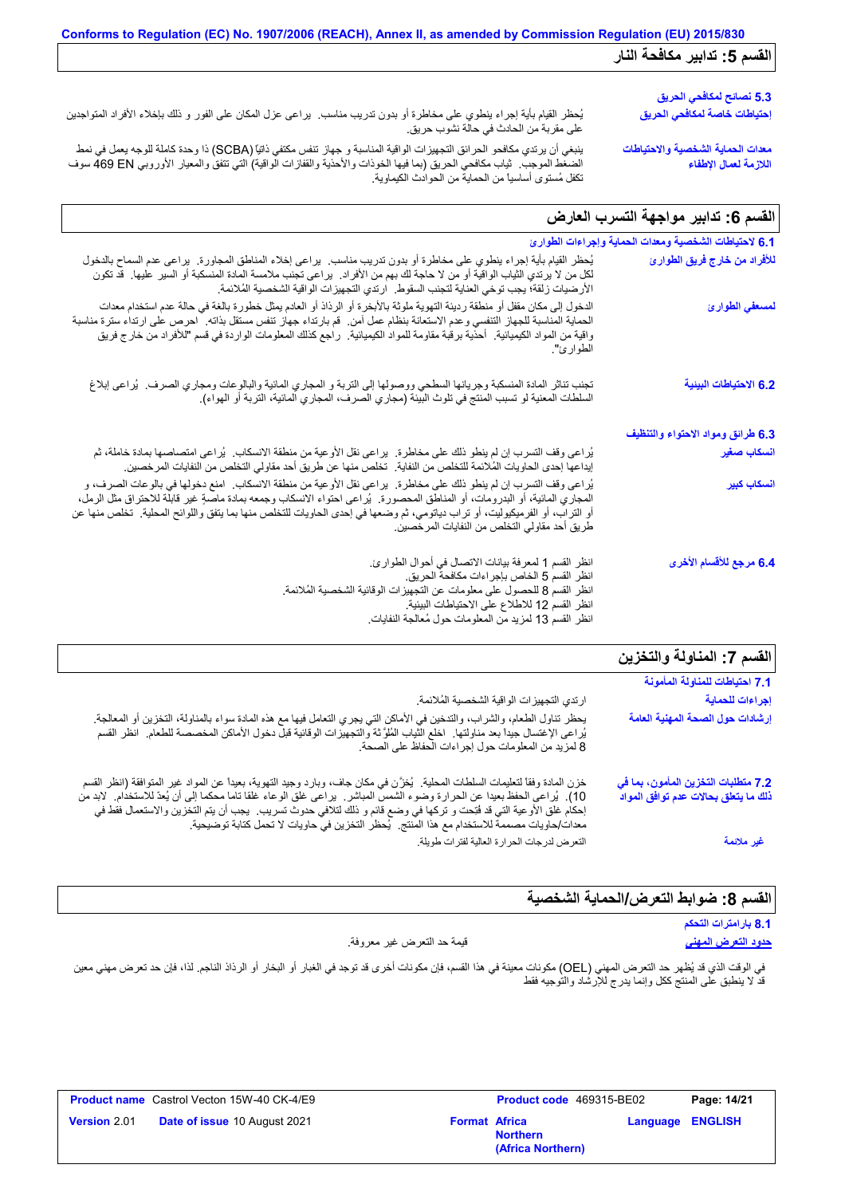| القسم 5: تدابير مكافحة النار                               |                                                                                                                                                                                                                                                                                                                                                                                                          |
|------------------------------------------------------------|----------------------------------------------------------------------------------------------------------------------------------------------------------------------------------------------------------------------------------------------------------------------------------------------------------------------------------------------------------------------------------------------------------|
| 5.3 نصائح لمكافحي الحريق                                   |                                                                                                                                                                                                                                                                                                                                                                                                          |
| إحتياطات خاصة لمكافحي الحريق                               | يُحظر القيام بأية إجراء ينطوي على مخاطرة أو بدون تدريب مناسب.  يراعى عزل المكان على الفور و ذلك بإخلاء الأفراد المتواجنين<br>على مقربة من الحادث في حالة نشوب حريق.                                                                                                                                                                                                                                      |
| معدات الحماية الشخصية والاحتياطات<br>اللازمة لعمال الإطفاء | ينبغي أن يرتدي مكافحو الحرائق التجهيزات الواقية المناسبة و جهاز تنفس مكتفي ذاتيًّا (SCBA) ذا وحدة كاملة للوجه يعمل في نمط<br>الضغط الموجب.  ثياب مكافحي الحريق (بما فيها الخوذات والأحذية والقفازات الواقية) التي تتفق والمعيار الأوروبي 469 EN سوف<br>تكفل مُستوى أساسياً من الحماية من الحوادث الكيماوية.                                                                                              |
| القسم 6: تدابير مواجهة التسرب العارض                       |                                                                                                                                                                                                                                                                                                                                                                                                          |
| 6.1 لاحتياطات الشخصية ومعدات الحماية وإجراءات الطوارئ      |                                                                                                                                                                                                                                                                                                                                                                                                          |
| للأفراد من خارج فريق الطوارئ                               | يُحظر القيام بأية إجراء ينطوي على مخاطرة أو بدون تدريب مناسب. يراعي إخلاء المناطق المجاورة. يراعي عدم السماح بالدخول<br>لكل من لا برتدي الثياب الواقية أو من لا حاجة لك بهم من الأفراد.  براعي تجنب ملامسة المادة المنسكبة أو السير عليها.  قد تكون<br>الأرضيات زلقة؛ يجب توخي العناية لتجنب السقوط. ارتدي التجهيزات الواقية الشخصية المُلائمة.                                                          |
| لمسعفي الطوارئ                                             | الدخول إلى مكان مقفل أو منطقة رديئة التهوية ملوثة بالأبخرة أو الرذاذ أو العادم يمثّل خطورة بالغة في حالة عدم استخدام معدات<br>الحماية المناسبة للجهاز التنفسي وعدم الاستعانة بنظام عمل آمن.  قم بارتداء جهاز تنفس مستقل بذاته.  احرص على ارتداء سترة مناسبة<br>واقية من المواد الكيميائية   أحذية برقبة مقاومة للمواد الكيميائية   راجع كذلك المعلومات الواردة في قسم "للأفراد من خارج فريق<br>الطوارئ". |
| 6.2 الاحتياطات البينية                                     | تجنب تناثر المادة المنسكبة وجريانها السطحي ووصولها إلى التربة و المجاري المائية والبالوعات ومجاري الصرف.  يُراعى إبلاغ<br>السلطات المعنية لو تسبب المنتج في تلوث البيئة (مجاري الصرف، المجاري المائية، التربة أو الهواء) ـ                                                                                                                                                                               |
| 6.3 طرائق ومواد الاحتواء والتنظيف                          |                                                                                                                                                                                                                                                                                                                                                                                                          |
| انسكاب صغير                                                | يُراعى وقف التسرب إن لم ينطو ذلك على مخاطرة.  يراعي نقل الأوعية من منطقة الانسكاب.  يُراعى امتصاصها بمادة خاملة، ثم<br>إيداعها إحدى الحاويات المُلائمة للتخلص من النفاية.  تخلص منها عن طريق أحد مقاولي التخلص من النفايات المرخصين.                                                                                                                                                                     |
| أنسكات كنبر                                                | يُر اعن وقف النِّسر ب إن لم ينطق ذلك على مخاطر ق بر اعي نقل الأو عنه من منطقة الإنسكاب . امنع دخولها في بالو عات الصرف، و                                                                                                                                                                                                                                                                                |

|                           | يب جو يصلي مصريت معجمة المسلسل من مصبو . المسلسل مصولاً عن صريبي مصالحتوي مسلسل من مصبوب معر مصبوب.                          |
|---------------------------|------------------------------------------------------------------------------------------------------------------------------|
| ا <mark>نسكاب كبير</mark> | يُراعى وقف التسرب إن لم ينطو ذلك على مخاطرة٬ يراعى نقل الأوعية من منطقة الانسكاب٬ امنع دخولها في بالوعات الصرف، و            |
|                           | المجاري المائية، أو البدرومات، أو المناطق المحصورة.  يُراعى احتواء الانسكاب وجمعه بمادة ماصةٍ غير قابلّة للاحتراق مثل الرمل، |
|                           | أو التراب، أو الفرميكيوليت، أو تراب دياتومي، ثم وضعها في إحدى الحاويات للتخلص منها بما يتفق واللوائح المحلية.  تخلص منها عن  |
|                           |                                                                                                                              |
|                           | طريق أحد مقاولي التخلص من النفايات المرخصين.                                                                                 |
|                           |                                                                                                                              |
|                           |                                                                                                                              |
| 6.4 مرجع للأقسام الأخرى   | انظر القسم 1 لمعرفة بيانات الاتصال في أحوال الطوارئ.                                                                         |
|                           | انظر القسم 5 الخاص بإجراءات مكافحة الحريق.                                                                                   |
|                           | انظر القسم 8 للحصول على معلومات عن التجهيزات الوقائية الشخصية المُلائمة.                                                     |
|                           |                                                                                                                              |

| انصر انفسم o سخصوں علی معلومات عل اسجھیرات انوقائیہ |  |
|-----------------------------------------------------|--|
| انظر القسم 12 للاطلاع على الاحتياطات البيئية.       |  |

| انطر القسم 1⁄2 للاطلاع على الاحتياطات البيتية.         |  |
|--------------------------------------------------------|--|
| انظر القسم 13 لمزيد من المعلومات حول مُعالجة النفايات. |  |
|                                                        |  |

| القسم 7: المناولة والتخزين                                                  |                                                                                                                                                                                                                                                                                                                                                                                                                                                                                   |
|-----------------------------------------------------------------------------|-----------------------------------------------------------------------------------------------------------------------------------------------------------------------------------------------------------------------------------------------------------------------------------------------------------------------------------------------------------------------------------------------------------------------------------------------------------------------------------|
| 7.1 احتياطات للمناولة المأمونة                                              |                                                                                                                                                                                                                                                                                                                                                                                                                                                                                   |
| إجراءات للحماية                                                             | ارتدي التجهيزات الواقية الشخصية المُلائمة.                                                                                                                                                                                                                                                                                                                                                                                                                                        |
| إرشادات حول الصحة المهنية العامة                                            | يحظر تناول الطعام، والشراب، والتدخين في الأماكن التي يجري التعامل فيها مع هذه المادة سواء بالمناولة، التخزين أو المعالجة.<br>يُراعى الإغتسال جيداً بعد مناولتها ِ اخلع الثياب المُلوَّثة والتجهيزات الوقائية قبل دخول الأماكن المخصصة للطعام ِ انظر القسم<br>8 لمزيد من المعلومات حول إجراءات الحفاظ على الصحة.                                                                                                                                                                   |
| 7.2 متطلبات التخزين المأمون، بما في<br>ذلك ما يتعلق بحالات عدم توافق المواد | خزن المادة وفقاً لتعليمات السلطات المحلية.  يُغزَّن في مكان جاف، وبارد وجيد التهوية، بعيداً عن المواد غير المتوافقة (انظر القسم<br>10). يُراعى الحفظ بعيدا عن الحرارة وضوء الشمس المباشر . يراعى غلق الوعاء غلقا تاما محكما إلى أن يُعدّ للاستخدام. لابد من<br>إحكام غلق الأوعية التي قد فُتِحت و تركها في وضع قائم و ذلك لتلافي حدوث تسريب   يجب أن يتم التخزين والاستعمال فقط في<br>معدات/حاويات مصممة للاستخدام مع هذا المنتج.  يُحظر التخزين في حاويات لا تحمل كتابة توضيحية. |
| غير ملائمة                                                                  | التعرض لدرجات الحرارة العالية لفترات طويلة                                                                                                                                                                                                                                                                                                                                                                                                                                        |
|                                                                             |                                                                                                                                                                                                                                                                                                                                                                                                                                                                                   |

# القسم 8: ضوابط التعرض/الحماية الشخصية

**8.1 بارامترات التحكم**

**حدود التعرض المھني** قیمة حد التعرض غیر معروفة.

في الوقت الذي قد يُظهر حد التعرض المهني (OEL) مكونات معينة في هذا القسم، فإن مكونات أخرى قد توجد في الغبار أو الرذاذ الناجم. لذا، فإن حد تعرض مهني معين قد لا ینطبق على المنتج ككل وإنما یدرج للإرشاد والتوجیھ فقط

|                     | <b>Product name</b> Castrol Vecton 15W-40 CK-4/E9 |                      | Product code 469315-BE02             |                         | Page: 14/21 |
|---------------------|---------------------------------------------------|----------------------|--------------------------------------|-------------------------|-------------|
| <b>Version 2.01</b> | <b>Date of issue 10 August 2021</b>               | <b>Format Africa</b> | <b>Northern</b><br>(Africa Northern) | <b>Language ENGLISH</b> |             |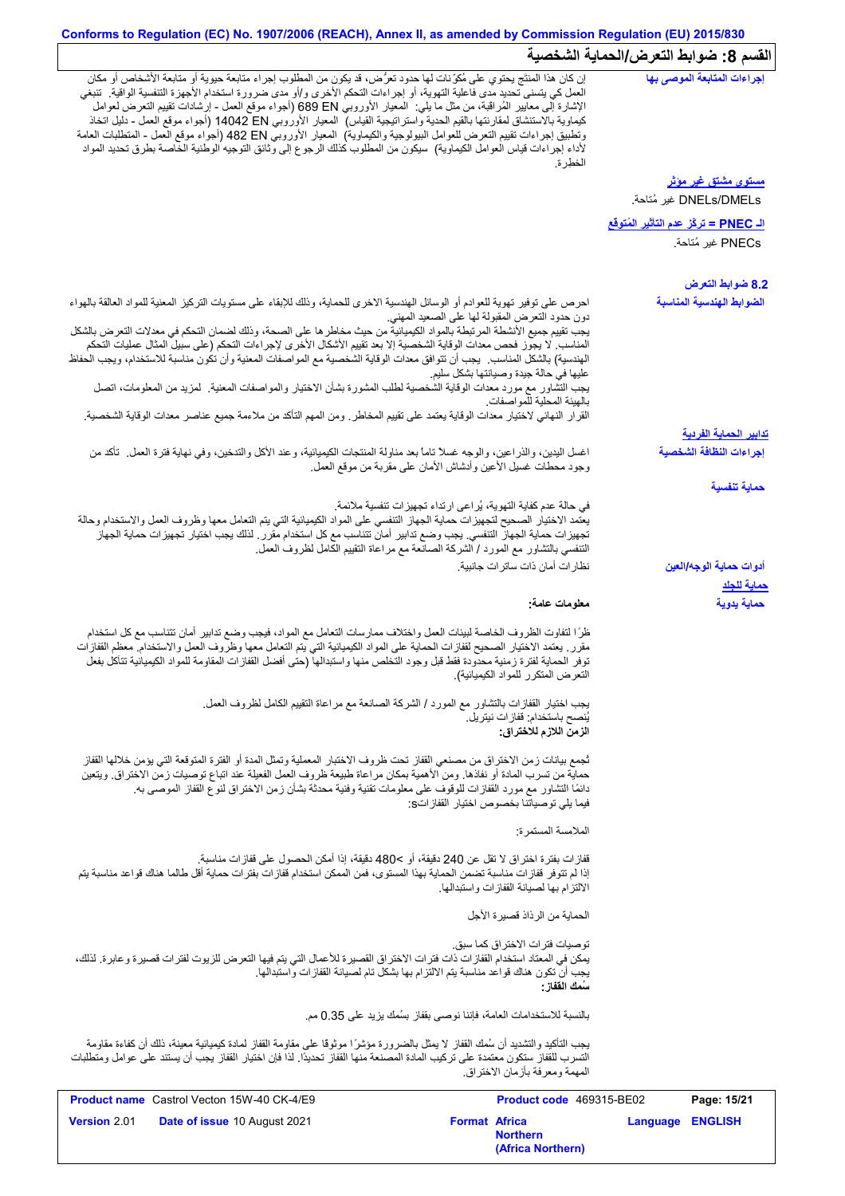# **Conforms to Regulation (EC) No. 1907/2006 (REACH), Annex II, as amended by Commission Regulation (EU) 2015/830 القسم :8 ضوابط التعرض/الحمایة الشخصیة**

| $\cdot$ $\cdot$ $\cdot$ $\cdot$ $\cdot$                |                                                                                                                                                                                                                                                                                                                                                                                                                                                                                                                                                                                                                                                                                                                                                                                |
|--------------------------------------------------------|--------------------------------------------------------------------------------------------------------------------------------------------------------------------------------------------------------------------------------------------------------------------------------------------------------------------------------------------------------------------------------------------------------------------------------------------------------------------------------------------------------------------------------------------------------------------------------------------------------------------------------------------------------------------------------------------------------------------------------------------------------------------------------|
| إجراءات المتابعة الموصى بها                            | إن كان هذا المنتَّج يحتوي على مُكوِّنات لها حدود تعرُّض، قد يكون من المطلوب إجراء متابعة حيوية أو متابعة الأشخاص أو مكان<br>العمل كي يتسنى تحديد مدى فاعلية التهوية، أو اجراءات التحكم الأخرى و/أو مدى ضرورة استخدام الأجهزة التنفسية الواقية.  تنبغي<br>الإشارة إلى معايير الْمُراقَبة، من مثل ما يلي:  المعيار الأوروبي 689 EN (أجواء موقع العمل - إرشادات تقييم التعرض لعوامل<br>كيماوية بالاستنشاق لمقارنتها بالقيم الحدية واستراتيجية القياس)  المعيار الأوروبي 14042 EN (أجواء موقع العمل - دليل اتخاذ<br>وتطبيق إجراءات تقييم النعرض للعوامل البيولوجية والكيماوية)  المعيار الأوروبـي 482 Bd (أجواء موقع العمل - المنطلبات العامة<br>لأداء إجراءات قياس العوامل الكيماوية)  سيكون من المطلوب كذلك الرجوع إلى وثائق التوجيه الوطنية الخاصة بطرق تحديد المواد<br>الخطر ة |
| <u>مستوی مشتق غیر موثر</u><br>DNELs/DMELs غير مُتاحة.  |                                                                                                                                                                                                                                                                                                                                                                                                                                                                                                                                                                                                                                                                                                                                                                                |
| ا <mark>لـ PNEC = تركُّز عدم التأثير المُتوفَّع</mark> |                                                                                                                                                                                                                                                                                                                                                                                                                                                                                                                                                                                                                                                                                                                                                                                |
| PNECs غير مُتاحة.                                      |                                                                                                                                                                                                                                                                                                                                                                                                                                                                                                                                                                                                                                                                                                                                                                                |
| 8.2 ضوابط التعرض                                       |                                                                                                                                                                                                                                                                                                                                                                                                                                                                                                                                                                                                                                                                                                                                                                                |
| الضوابط الهندسية المناسبة                              | احرص على توفير تهوية للعوادم أو الوسائل الهندسية الاخرى للحماية، وذلك للإبقاء على مستويات التركيز المعنية للمواد العالقة بالهواء<br>دون حدود التعرض المقبولة لها على الصعيد المهني.<br>يجب تقييم جميع الأنشطة المرتبطة بالمواد الكيميائية من حيث مخاطر ها على الصحة، وذلك لضمان التحكم في معدلات التعرض بالشكل<br>المناسب لا يجوز فحص معدات الوقاية الشخصية إلا بعد تقييم الأشكال الأخرى لإجراءات التحكم (على سبيل المثال عمليات التحكم<br>الهندسية) بالشكل المناسب يجب أن تتوافق معدات الوقاية الشخصية مع المواصفات المعنية وأن تكون مناسبة للاستخدام، ويجب الحفاظ<br>عليها في حالة جيدة وصيانتها بشكل سليم<br>يجب التشاور مع مورد معدات الوقاية الشخصية لطلب المشورة بشأن الاختيار والمواصفات المعنية   لمزيد من المعلومات، اتصل<br>بالهيئة المحلية للمو اصفات               |
|                                                        | القرار النهائي لاختيار معدات الوقاية يعتمد على تقييم المخاطر ـ ومن المهم التأكد من ملاءمة جميع عناصر معدات الوقاية الشخصية.                                                                                                                                                                                                                                                                                                                                                                                                                                                                                                                                                                                                                                                    |
| <u>تدابير الحماية الفردية</u>                          |                                                                                                                                                                                                                                                                                                                                                                                                                                                                                                                                                                                                                                                                                                                                                                                |
| إجراءات النظافة الشخصية                                | اغسل اليدين، والذراعين، والوجه غسلاً ناماً بعد مذاولة المنتجات الكيميائية، وعند الأكل والتدخين، وفي نهاية فترة العمل ِ تأكد من<br>وجود محطات غسلي الأعين وأدشاش الأمان على مقربة من موقع العمل                                                                                                                                                                                                                                                                                                                                                                                                                                                                                                                                                                                 |
| حماية تنفسية                                           |                                                                                                                                                                                                                                                                                                                                                                                                                                                                                                                                                                                                                                                                                                                                                                                |
|                                                        | في حالة عدم كفاية التهوية، يُراعى ارتداء تجهيزات تنفسية ملائمة.<br>يعتمد الاختيار الصحيح لتجهيزات حماية الجهاز التنفسي على المواد الكيميائية التي يتم التعامل معها وظروف العمل والاستخدام وحالة<br>تجهيزات حماية الجهاز التنفسي. يجب وضع تدابير أمان تتناسب مع كل استخدام مقرر ـ لذلك يجب اختيار تجهيزات حماية الجهاز<br>التنفسي بالتشاور مع المورد / الشركة الصانعة مع مراعاة التقييم الكامل لظروف العمل                                                                                                                                                                                                                                                                                                                                                                      |
| أدوات حماية الوجه/العين<br><u>حماية للجلد</u>          | نظار ات أمان ذات ساتر ات جانبية.                                                                                                                                                                                                                                                                                                                                                                                                                                                                                                                                                                                                                                                                                                                                               |
| حماية يدوية                                            | معلومات عامة:                                                                                                                                                                                                                                                                                                                                                                                                                                                                                                                                                                                                                                                                                                                                                                  |
|                                                        | ظرًا لتفاوت الظروف الخاصة لبيئات العمل واختلاف ممارسات التعامل مع المواد، فيجب وضع تدابير أمان تتناسب مع كل استخدام<br>مقرر ٍ يعتمد الاختيار الصحيح لقفازات الحماية على المواد الكيميائية التي يتم التعامل معها وظروف العمل والاستخدام ٍ معظم القفازات<br>توفر الحماية لفترة زمنية محدودة فقط قبل وجود التخلص منها واستبدالها (حتى أفضل القفازات المقاومة للمواد الكيميائية تتآكل بفعل<br>التعرض المتكرر للمواد الكيميائية).                                                                                                                                                                                                                                                                                                                                                   |
|                                                        | يجب اختيار القفازات بالتشاور مع المورد / الشركة الصانعة مع مراعاة التقييع الكامل لظروف العمل.                                                                                                                                                                                                                                                                                                                                                                                                                                                                                                                                                                                                                                                                                  |
|                                                        | يُنصح باستخدام: ففاز ات نيتريل.<br>الزمن اللازم للاختراق:                                                                                                                                                                                                                                                                                                                                                                                                                                                                                                                                                                                                                                                                                                                      |
|                                                        | ثجمع بيانات زمن الاختراق من مصنعي القفاز تحت ظروف الاختبار المعملية وتمثل المدة أو الفترة المتوقعة التي يؤمن خلالها القفاز<br>حماية من تسرب المادة أو نفاذها. ومن الأهمية بمكان مراعاة طبيعة ظروف العمل الفعيلة عند اتباع توصيات زمن الاختراق. ويتعين<br>دائمًا التشاور مع مورد القفازات للوقوف على معلومات تقنية وفنية محدثة بشأن زمن الاختراق لنوع القفاز الموصىي به.<br>فيما يلي توصياتنا بخصوص اختيار القفازاتs:                                                                                                                                                                                                                                                                                                                                                           |
|                                                        | الملامسة المستمرة:                                                                                                                                                                                                                                                                                                                                                                                                                                                                                                                                                                                                                                                                                                                                                             |
|                                                        | قفاز ات بفترة اختر اق لا تقل عن 240 دقيقة، أو >480 دقيقة، إذا أمكن الحصول على قفاز ات مناسبة.<br>إذا لم تتوفر قفازات مناسبة تضمن الحماية بهذا المستوى، فمن الممكن استخدام قفازات بفترات حماية أقل طالما هناك قواعد مناسبة يتم<br>الالتزام بها لصيانة القفازات واستبدالها                                                                                                                                                                                                                                                                                                                                                                                                                                                                                                       |
|                                                        | الحماية من الرذاذ قصيرة الأجل                                                                                                                                                                                                                                                                                                                                                                                                                                                                                                                                                                                                                                                                                                                                                  |
|                                                        | تو صيات فتر ات الاختر اق كما سبق.<br>يمكن في المعتاد استخدام القفاز ات ذات فترات الاختراق القصيرة للأعمال التي يتم فيها التعرض للزيوت لفترات قصيرة وعابرة. لذلك،<br>يجب أن تكون هناك قواعد مناسبة يتم الالتزام بها بشكل تام لصيانة القفازات واستبدالها.<br>سُمك الففاز :                                                                                                                                                                                                                                                                                                                                                                                                                                                                                                       |
|                                                        | بالنسبة للاستخدامات العامة، فإننا نوصبي بقفاز بسُمك يزيد على 0.35 مم.                                                                                                                                                                                                                                                                                                                                                                                                                                                                                                                                                                                                                                                                                                          |
|                                                        | يجب التأكيد والتشديد أن سُمك القفاز لا يمثل بالضرورة مؤشرًا موثوقًا على مقاومة القفاز لمادة كيميائية معينة، ذلك أن كفاءة مقاومة<br>التسرب للقفاز ستكون معتمدة على تركيب المادة المصنعة منها القفاز تحديدًا. لذا فإن اختيار القفاز يجب أن يستند على عوامل ومتطلبات<br>المهمة ومعرفة بأزمان الاختراق.                                                                                                                                                                                                                                                                                                                                                                                                                                                                            |
| Page: 15/21                                            | <b>Product name</b> Castrol Vecton 15W-40 CK-4/E9<br>Product code 469315-BE02                                                                                                                                                                                                                                                                                                                                                                                                                                                                                                                                                                                                                                                                                                  |
| Language ENGLISH                                       | Version 2.01<br><b>Format Africa</b><br>Date of issue 10 August 2021<br><b>Northern</b>                                                                                                                                                                                                                                                                                                                                                                                                                                                                                                                                                                                                                                                                                        |

**(Africa Northern)**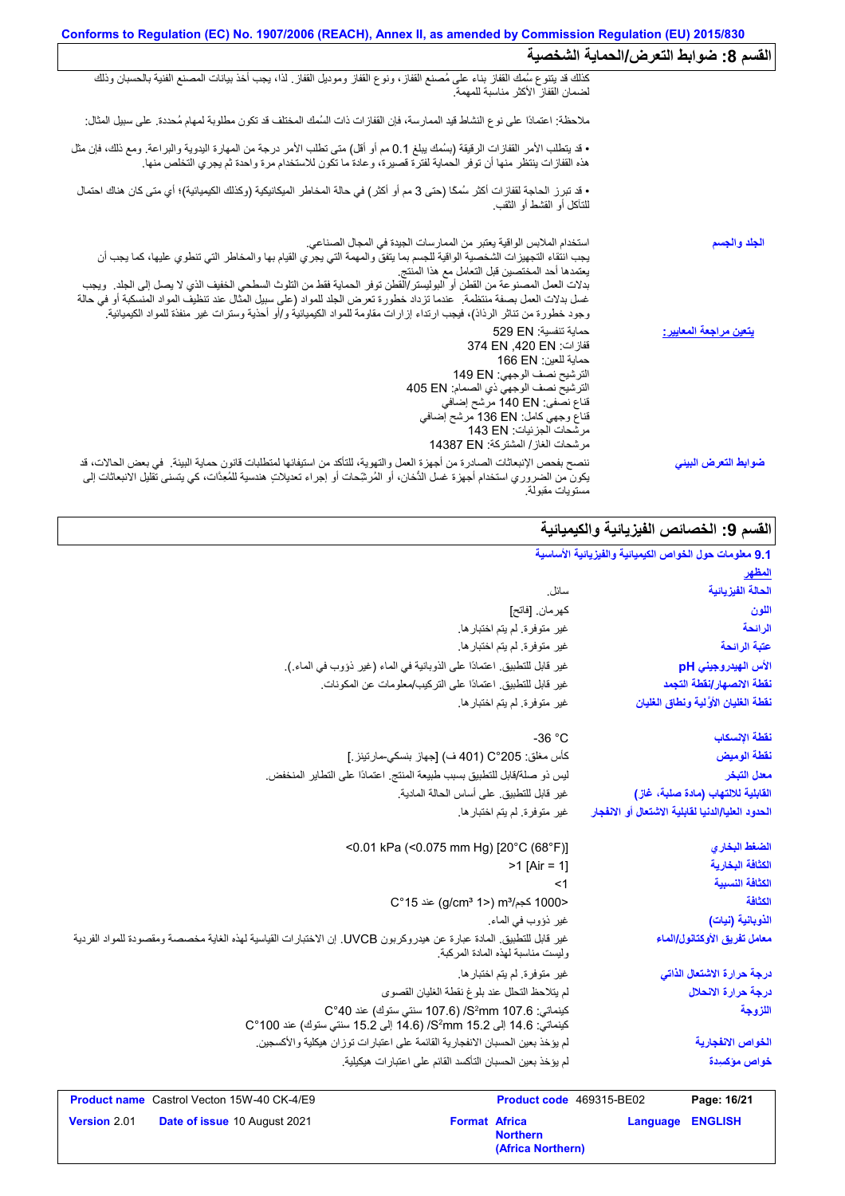| نفسم 8: صوابط التعرض الحماية السَّخصية |                                                                                                                                                                                                                                                                                                                                                                                                                                                                                                                                                                                                                                  |
|----------------------------------------|----------------------------------------------------------------------------------------------------------------------------------------------------------------------------------------------------------------------------------------------------------------------------------------------------------------------------------------------------------------------------------------------------------------------------------------------------------------------------------------------------------------------------------------------------------------------------------------------------------------------------------|
|                                        | كذلك قد يتنوع سُمك القفاز بناء على مُصنع القفاز ، ونوع القفاز وموديل القفاز ٍ لذا، يجب أخذ بيانات المصنع الفنية بالحسبان وذلك<br>لضمان القفاز الأكثر مناسبة للمهمة                                                                                                                                                                                                                                                                                                                                                                                                                                                               |
|                                        | ملاحظة: اعتمادًا على نوع النشاط قيد الممارسة، فإن القفازات ذات السُمك المختلف قد تكون مطلوبة لمهام مُحددة. على سبيل المثال:                                                                                                                                                                                                                                                                                                                                                                                                                                                                                                      |
|                                        | • قد يتطلب الأمر القفازات الرقيقة (بسُمك يبلغ 0.1 مم أو أقل) متى تطلب الأمر درجة من المهارة اليدوية والبراعة. ومع ذلك، فإن مثل<br>هذه القفازات ينتظر منها أن توفر الحماية لفترة قصيرة، وعادة ما تكون للاستخدام مرة واحدة ثم يجري                                                                                                                                                                                                                                                                                                                                                                                                 |
|                                        | • قد تبرز  الحاجة لقفاز ات أكثر سُمكًا (حتى 3 مم أو أكثر ) في حالة المخاطر  الميكانيكية (وكذلك الكيميائية)؛ أي متى كان هناك احتمال<br>للتأكل أو القشط أو الثقب.                                                                                                                                                                                                                                                                                                                                                                                                                                                                  |
| الجلد والجسم                           | استخدام الملابس الواقية يعتبر من الممارسات الجيدة في المجال الصناعي.<br>يجب انتقاء التجهيزات الشخصية الواقية للجسم بما يتفق والمهمة التي يجري القيام بها والمخاطر التي تنطوي عليها، كما يجب أن<br>يعتمدها أحد المختصين قبل التعامل مع هذا المنتج<br>بدلات العمل المصنوعة من القطن أو البوليستر/القطن توفر الحماية فقط من التلوث السطحي الخفيف الذي لا يصل إلى الجلد ٍ ويجب<br>غسل بدلات العمل بصفة منتظمة ¸ عندما تزداد خطورة تعرض الجلد للمواد (على سبيل المثال عند تنظيف المواد المنسكبة أو في حالة<br>وجود خطورة من تناثر الرذاذ)، فيجب ارتداء إزارات مقاومة للمواد الكيميائية و/أو أحذية وسترات غير منفذة للمواد الكيميائية. |
| <u>يتعين مراجعة المعايير :</u>         | حمابة تنفسية: 529 EN<br>قفازات: 374 EN .420 EN<br>حماية للعين: 166 EN<br>الترشيح نصف الوجهي: 149 EN<br>الترشيح نصف الوجهي ذي الصمام: 405 EN<br>قناع نصفي: 140 EN مرشح إضافي<br>قناع وجهي كامل: 136 EN مرشح إضـافي<br>مر شحات الجز ئيات: 143 EN<br>مر شحات الغاز / المشتركة: 14387 EN                                                                                                                                                                                                                                                                                                                                             |
| ضوابط التعرض البيني                    | ننصح بفحص الإنبعاثات الصادرة من أجهزة العمل والتهوية، للتأكد من استيفائها لمتطلبات قانون حماية البيئة في بعض الحالات، قد<br>يكون من الضروري استخدام أجهزة غسل الدُّخان، أو المُرشِّحات أو إجراء تعديلاتٍ هندسية للمُعِدَّات، كي يتسنى تقليل الانبعاثات إلى<br>مستويات مقبولة                                                                                                                                                                                                                                                                                                                                                     |

## القسم 9: الخصائص الفیز یائیة و الكیمیائیة

#### غیر متوفرة. لم یتم اختبارھا. سائل. غیر قابل للتطبیق. اعتمادًا على التركیب/معلومات عن المكونات.  $\leq 1$  $>1$  [Air = 1] <0.01 kPa (<0.075 mm Hg) [20°C (68°F)] غیر متوفرة. لم یتم اختبارھا. كھرمان. [فاتح] لیس ذو صلة/قابل للتطبیق بسبب طبیعة المنتج. اعتمادًا على التطایر المنخفض. غیر متوفرة. لم یتم اختبارھا. كأس مغلق: 205 °C) 401 ف) [جھاز بنسكي-مارتینز.] غیر متوفرة. لم یتم اختبارھا. لم یؤخذ بعین الحسبان الانفجاریة القائمة على اعتبارات توزان ھیكلیة والأكسجین. غیر قابل للتطبیق. المادة عبارة عن ھیدروكربون UVCB. إن الاختبارات القیاسیة لھذه الغایة مخصصة ومقصودة للمواد الفردیة ولیست مناسبة لھذه المادة المركبة. غیر قابل للتطبیق. اعتمادًا على الذوبانیة في الماء (غیر ذؤوب في الماء.). كینماتي: 107.6 mm<sup>2</sup>S/) 107.6 سنتي ستوك) عند 40 °C كینماتي: 14.6 إلى 15.2 mm<sup>2</sup>S/) 14.6 إلى 15.2 سنتي ستوك) عند 100 °C غیر متوفرة. لم یتم اختبارھا. لم یؤخذ بعین الحسبان التأكسد القائم على اعتبارات ھیكیلیة. **9.1 معلومات حول الخواص الكیمیائیة والفیزیائیة الأساسیة المظھر** لم یتلاحظ التحلل عند بلوغ نقطة الغلیان القصوى غیر قابل للتطبیق. على أساس الحالة المادیة. -36 °C C° 15 عند) g/cm³ 1>) m³/كجم 1000< غیر ذؤوب في الماء. **الحالة الفیزیائیة اللون الرائحة عتبة الرائحة الأس الھیدروجیني pH نقطة الانصھار/نقطة التجمد نقطة الغلیان الأوَّ لیة ونطاق الغلیان نقطة الإنسكاب نقطة الومیض معدل التبخر القابلیة للالتھاب (مادة صلبة، غاز) الضغط البخاري الكثافة النسبیة الكثافة البخاریة درجة حرارة الاشتعال الذاتي اللزوجة معامل تفریق الأوكتانول/الماء الحدود العلیا/الدنیا لقابلیة الاشتعال أو الانفجار الخواص الانفجاریة خواص مؤكسِدة درجة حرارة الانحلال الكثافة الذوبانیة (نیات)**

|                     | <b>Product name</b> Castrol Vecton 15W-40 CK-4/E9 |                      | <b>Product code</b> 469315-BE02      |                         | Page: 16/21 |
|---------------------|---------------------------------------------------|----------------------|--------------------------------------|-------------------------|-------------|
| <b>Version 2.01</b> | <b>Date of issue 10 August 2021</b>               | <b>Format Africa</b> | <b>Northern</b><br>(Africa Northern) | <b>Language ENGLISH</b> |             |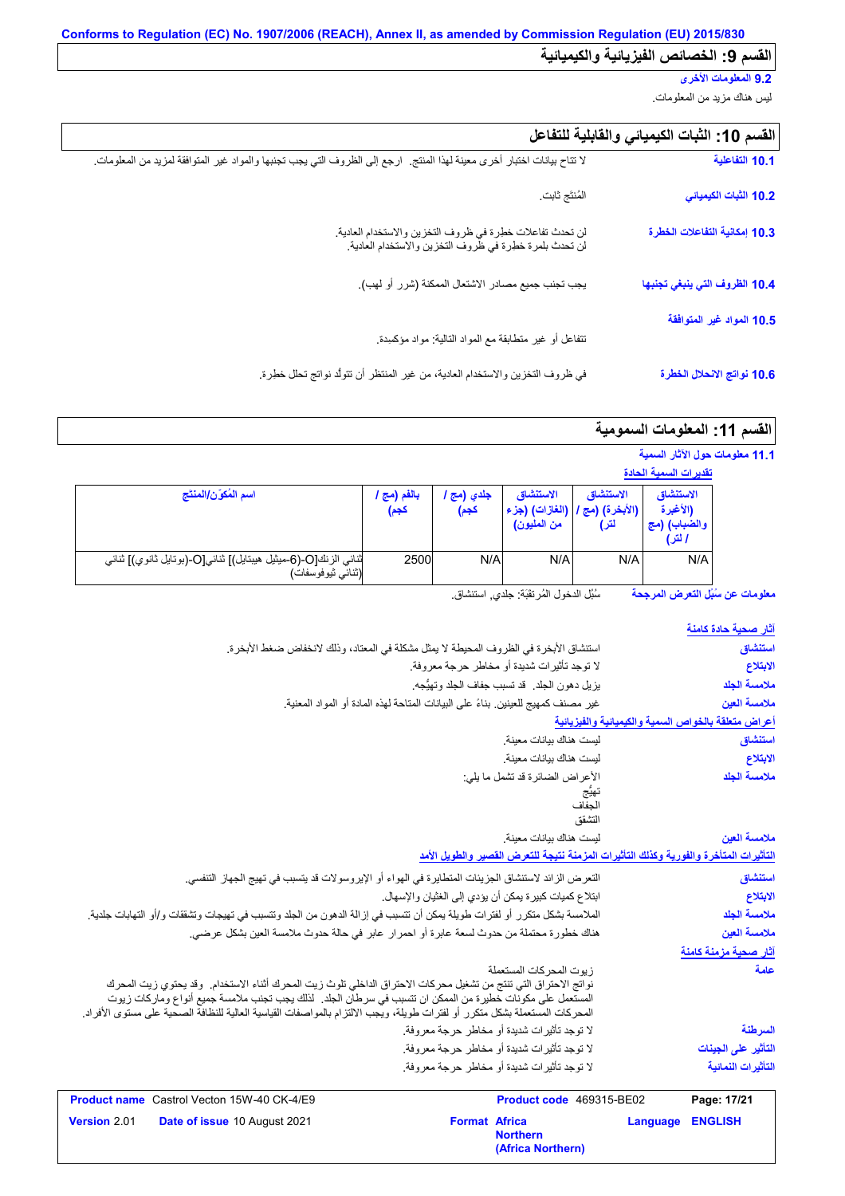## **9.2 المعلومات الأخرى**

لیس ھناك مزید من المعلومات.

| القسم 10: الثبات الكيميائي والقابلية للتفاعل |  |  |  |  |
|----------------------------------------------|--|--|--|--|
|----------------------------------------------|--|--|--|--|

| 10.1 التفاعلية                | لا تتاح بيانات اختبار أخرى معينة لهذا المنتج   ارجع إلى الظروف التي يجب تجنبها والمواد غير المتوافقة لمزيد من المعلومات ِ |
|-------------------------------|---------------------------------------------------------------------------------------------------------------------------|
| 10.2 الثبات الكيميائي         | المُنتَج ثابت                                                                                                             |
| 10.3 إمكانية التفاعلات الخطرة | لن تحدث تفاعلات خطرة في ظروف التخزين والاستخدام العادية.<br>لن تحدث بلمرة خطرة في ظروف التخزين والاستخدام العادية.        |
| 10.4 الظروف التي ينبغي تجنبها | يجب تجنب جميع مصادر الاشتعال الممكنة (شرر أو لهب).                                                                        |
| 10.5 المواد غير المتوافقة     | نتفاعل أو غير متطابقة مع المواد الذالية: مواد مؤكسدة                                                                      |
| 10.6 نواتج الانحلال الخطرة    | في ظروف التخزين والاستخدام العادية، من غير المنتظر أن تتولَّد نواتج تحلل خطِرة.                                           |

# القسم **11:** المعلومات السمومية

|  |  |  | 11.1 معلومات حول الآثار السمية |  |  |
|--|--|--|--------------------------------|--|--|
|--|--|--|--------------------------------|--|--|

|                                                                                     |                     |                    |                                            |                                   | <u>تقديرات الس</u> مية الحادة                   |
|-------------------------------------------------------------------------------------|---------------------|--------------------|--------------------------------------------|-----------------------------------|-------------------------------------------------|
| اسم المُكوّن/المنتَج                                                                | بالفم (مج ا<br>كجم) | جلدي (مج ا<br>كجم) | الاستنشاق<br>(الغازات) (جزء<br>من المليون) | الاستنشاق<br>(الأبخرة) (مج<br>لتر | الاستنشاق<br>(الأغبرة<br>والضباب) (مج<br>ا لتر) |
| ثنائي الزنك[O-(6-ميثيل هيبتايل)] ثنائي[O-(بوتايل ثانوي)] ثنائي<br>(ثنائي ثيوفوسفات) | 2500                | N/A                | N/A                                        | N/A                               | N/A                                             |

**معلومات عن سُبُل التعرض المرجحة** سُبُل الدخول المُرتقَبَة: جلدي, استنشاق<sub>.</sub>

| <u>آثار صحية حادة كام</u> نة |                                                     |                                                                                                     |                                                                                                                                                                                                                                                                                                                                                              |
|------------------------------|-----------------------------------------------------|-----------------------------------------------------------------------------------------------------|--------------------------------------------------------------------------------------------------------------------------------------------------------------------------------------------------------------------------------------------------------------------------------------------------------------------------------------------------------------|
| استنشاق                      |                                                     | استتشاق الأبخرة في الظروف المحيطة لا يمثِّل مشكلة في المعتاد، وذلك لانخفاض ضغط الأبخرة.             |                                                                                                                                                                                                                                                                                                                                                              |
| الابتلاع                     |                                                     | لا توجد تأثيرات شديدة أو مخاطر حرجة معروفة.                                                         |                                                                                                                                                                                                                                                                                                                                                              |
| ملامسة الجلد                 |                                                     | يزيل دهون الجلد. قد تسبب جفاف الجلد وتهيُّجه.                                                       |                                                                                                                                                                                                                                                                                                                                                              |
| ملامسة العين                 |                                                     | غير مصنف كمهيج للعينين. بناءً على البيانات المتاحة لهذه المادة أو المواد المعنية.                   |                                                                                                                                                                                                                                                                                                                                                              |
|                              | أعراض متعلقة بالخواص السمية والكيميانية والفيزيانية |                                                                                                     |                                                                                                                                                                                                                                                                                                                                                              |
| استنشاق                      |                                                     | ليست هناك بيانات معينة                                                                              |                                                                                                                                                                                                                                                                                                                                                              |
| الابتلاع                     |                                                     | ليست هناك بيانات معينة                                                                              |                                                                                                                                                                                                                                                                                                                                                              |
| ملامسة الجلد                 |                                                     | الأعراض الضائرة قد تشمل ما يلي:<br>تهيج<br>الجفاف<br>التشقق                                         |                                                                                                                                                                                                                                                                                                                                                              |
| ملامسة العين                 |                                                     | ليست هناك بيانات معينة.                                                                             |                                                                                                                                                                                                                                                                                                                                                              |
|                              |                                                     | التأثيرات المتأخرة والفورية وكذلك التأثيرات المزمنة نتيجة للتعرض القصير والطويل الأمد               |                                                                                                                                                                                                                                                                                                                                                              |
| استنشاق                      |                                                     | التعرض الزائد لاستنشاق الجزيئات المتطايرة في الهواء أو الإيروسولات قد يتسبب في تهيج الجهاز التنفسي. |                                                                                                                                                                                                                                                                                                                                                              |
| الابتلاع                     |                                                     | ابتلاع كميات كبيرة يمكن أن يؤدي إلى الغثيان والإسهال.                                               |                                                                                                                                                                                                                                                                                                                                                              |
| ملامسة الجلد                 |                                                     |                                                                                                     | الملامسة بشكل متكرر أو لفترات طويلة يمكن أن تتسبب في إزالة الدهون من الجلد وتتسبب في تهيجات وتشققات و/أو التهابات جلدية.                                                                                                                                                                                                                                     |
| ملامسة العين                 |                                                     | هناك خطورة محتملة من حدوث لسعة عابرة أو احمر ار عابر في حالة حدوث ملامسة العين بشكل عرضي.           |                                                                                                                                                                                                                                                                                                                                                              |
| آثار صحية مزمنة كامنة        |                                                     |                                                                                                     |                                                                                                                                                                                                                                                                                                                                                              |
| علمة                         |                                                     | زيوت المحركات المستعملة                                                                             | نواتج الاحتراق التي تنتج من تشغيل محركات الاحتراق الداخلي تلوث زيت المحرك أثناء الاستخدام.  وقد يحتوي زيت المحرك<br>المستعمل على مكونات خطيرة من الممكن ان تتسبب في سرطان الجلد.  لذلك يجب تجنب ملامسة جميع أنواع وماركات زيوت<br>المحركات المستعملة بشكل متكرر أو لفترات طويلة، ويجب الإلتزام بالمواصفات القياسية العالية للنظافة الصحية على مستوى الأفراد. |
| السرطنة                      |                                                     | لا توجد تأثيرات شديدة أو مخاطر حرجة معروفة.                                                         |                                                                                                                                                                                                                                                                                                                                                              |
| التأثير على الجينات          |                                                     | لا توجد تأثيرات شديدة أو مخاطر حرجة معروفة.                                                         |                                                                                                                                                                                                                                                                                                                                                              |
| التأثيرات النمائية           |                                                     | لا توجد تأثيرات شديدة أو مخاطر حرجة معروفة.                                                         |                                                                                                                                                                                                                                                                                                                                                              |
| Page: 17/21                  |                                                     | Product code 469315-BE02                                                                            | <b>Product name</b> Castrol Vecton 15W-40 CK-4/E9                                                                                                                                                                                                                                                                                                            |
| <b>ENGLISH</b>               | Language                                            | <b>Format Africa</b><br><b>Northern</b><br>(Africa Northern)                                        | Date of issue 10 August 2021                                                                                                                                                                                                                                                                                                                                 |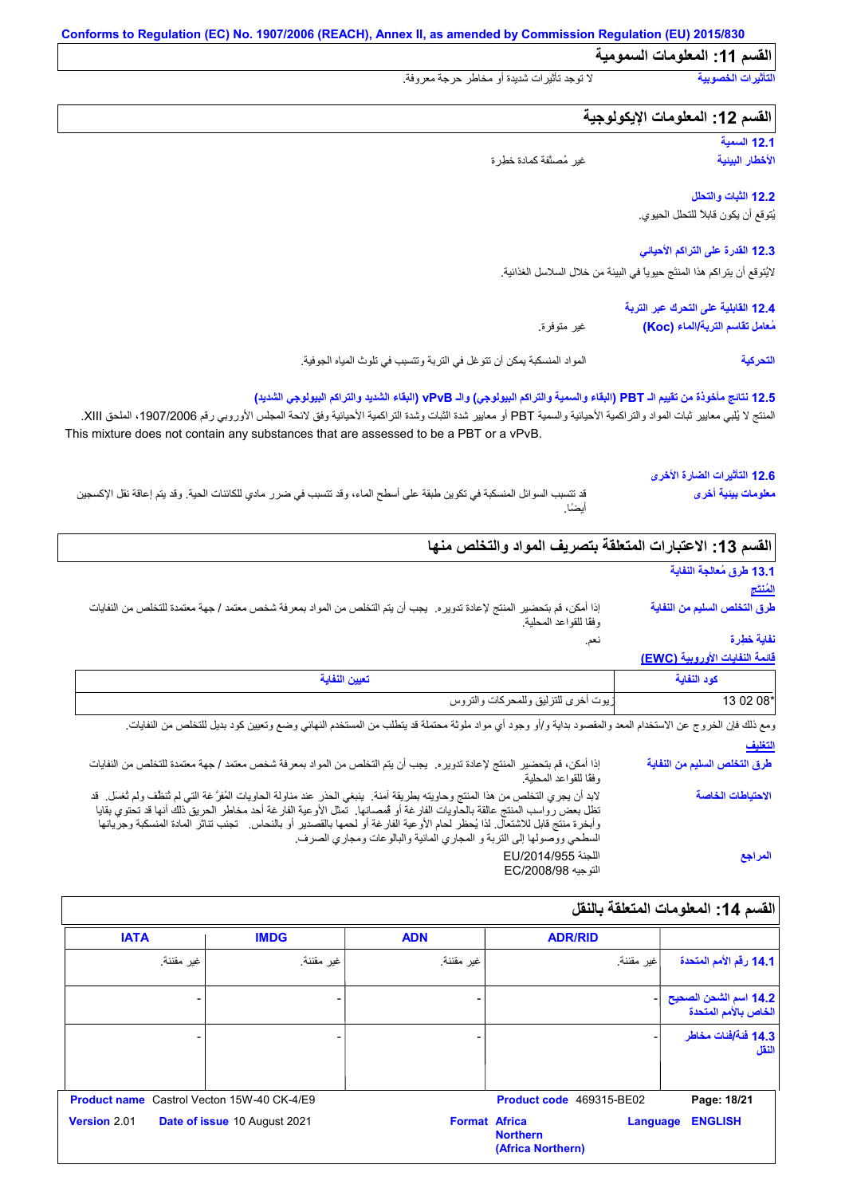**القسم :11 المعلومات السمومیة**

**التأثیرات الخصوبیة** لا توجد تأثیرات شدیدة أو مخاطر حرجة معروفة.

## **القسم :12 المعلومات الإیكولوجیة**

**12.1 السمیة الأخطار البیئیة**

غیر مُصنَّفة كمادة خطِرة

## **12.2 الثبات والتحلل** یُتوقع أن یكون قابلاً للتحلل الحیوي.

**12.3 القدرة على التراكم الأحیائي**

لایُتوقع أن یتراكم ھذا المنتَج حیویاً في البیئة من خلال السلاسل الغذائیة.

#### **12.4 القابلیة على التحرك عبر التربة** غیر متوفرة. **مُعامل تقاسم التربة/الماء (Koc(**

المواد المنسكبة یمكن أن تتوغل في التربة وتتسبب في تلوث المیاه الجوفیة. **التحركیة**

### **12.5 نتائج مأخوذة من تقییم الـ PBT) البقاء والسمیة والتراكم البیولوجي) والـ vPvB) البقاء الشدید والتراكم البیولوجي الشدید)**

المنتج لا يُلبي معايير ثبات المواد والتراكمية الأحيائية والسمية PBT أو معايير شدة الثتراكمية الأحيائية وفق لائحة المجلس الأوروبي رقم 1907/2006، الملحق XIII. This mixture does not contain any substances that are assessed to be a PBT or a vPvB.

#### قد تتسبب السوائل المنسكبة في تكوین طبقة على أسطح الماء، وقد تتسبب في ضرر مادي للكائنات الحیة. وقد یتم إعاقة نقل الإكسجین أیضًا. **12.6 التأثیرات الضارة الأخرى معلومات بیئیة أخرى**

## القسم 13: الاعتبارات المتعلقة بتصريف المواد والتخلص من**ه**ا

نعم.

## **13.1 طرق مُعالجة النفایة المُنتَج**

**طرق التخلص السلیم من النفایة**

إذا أمكن، قم بتحضیر المنتج لإعادة تدویره. یجب أن یتم التخلص من المواد بمعرفة شخص معتمد / جھة معتمدة للتخلص من النفایات وفقًا للقواعد المحلیة.

**نفایة خطِرة**

## **قائمة النفایات الأوروبیة (EWC(**

| المعينان الثقاب<br>. <b></b>        | $-$     |
|-------------------------------------|---------|
| زيوت أخرى للتزليق وللمحركات والتروس | $0208*$ |

| ومع ذلك فإن الخروج عن الاستخدام المعد والمقصود بداية و/أو وجود أي مواد ملوثة محتملة قد يتطلب من المستخدم النهائي وضع وتعيين كود بديل للتخلص من النفايات                                                                                                                                                                                                                                                                                                              |                              |
|----------------------------------------------------------------------------------------------------------------------------------------------------------------------------------------------------------------------------------------------------------------------------------------------------------------------------------------------------------------------------------------------------------------------------------------------------------------------|------------------------------|
|                                                                                                                                                                                                                                                                                                                                                                                                                                                                      | التغليف                      |
| إذا أمكن، قم بتحضير المنتج لإعادة تدويره. يجب أن يتم التخلص من المواد بمعرفة شخص معتمد / جهة معتمدة للتخلص من النفايات<br>وفقًا للقواعد المحلية.                                                                                                                                                                                                                                                                                                                     | طرق التخلص السليم من النفاية |
| لابد أن يجري التخلص من هذا المنتج وحاويته بطريقة آمنة.  ينبغي الحذر عند مناولة الحاويات المُفرَّ غة التي لم ثنظف ولم ثغسل.  قد<br>تظل بعض رواسب المنتج عالقة بالحاويات الفارغة أو فمصانها. تَّمثل الأوعية الفارغة أحد مخاطر الحريق ذلك أنها قد تحتوي بقايا<br>وأبخرة منتج قابل للاشتعال. لذا يُحظر لحام الأو عية الفارغة أو لحمها بالقصدير أو بالنحاس.   تجنب تناثر المادة المنسكبة وجريانها<br>السطحي ووصولها إلى التربة و المجاري المائية والبالوعات ومجاري الصرف. | الاحتياطات الخاصة            |
| اللجنة EU/2014/955<br>التوجيه EC/2008/98                                                                                                                                                                                                                                                                                                                                                                                                                             | المراجع                      |

## **القسم :14 المعلومات المتعلقة بالنقل**

| <b>IATA</b>                                       | <b>IMDG</b>                  | <b>ADN</b> | <b>ADR/RID</b>                                                           |                                               |
|---------------------------------------------------|------------------------------|------------|--------------------------------------------------------------------------|-----------------------------------------------|
| غير مقننة.                                        | غير مقننة.                   | غير مقننة. | غير مقننة.                                                               | 14.1 رقم الأمم المتحدة                        |
|                                                   |                              |            |                                                                          | 14.2 اسم الشحن الصحيح<br>الخاص بالأمم المتحدة |
|                                                   |                              |            |                                                                          | 14.3 فَنَةَ/فَنات مخاطر<br>النقل              |
| <b>Product name</b> Castrol Vecton 15W-40 CK-4/E9 |                              |            | Product code 469315-BE02                                                 | Page: 18/21                                   |
| Version 2.01                                      | Date of issue 10 August 2021 |            | <b>Format Africa</b><br>Language<br><b>Northern</b><br>(Africa Northern) | <b>ENGLISH</b>                                |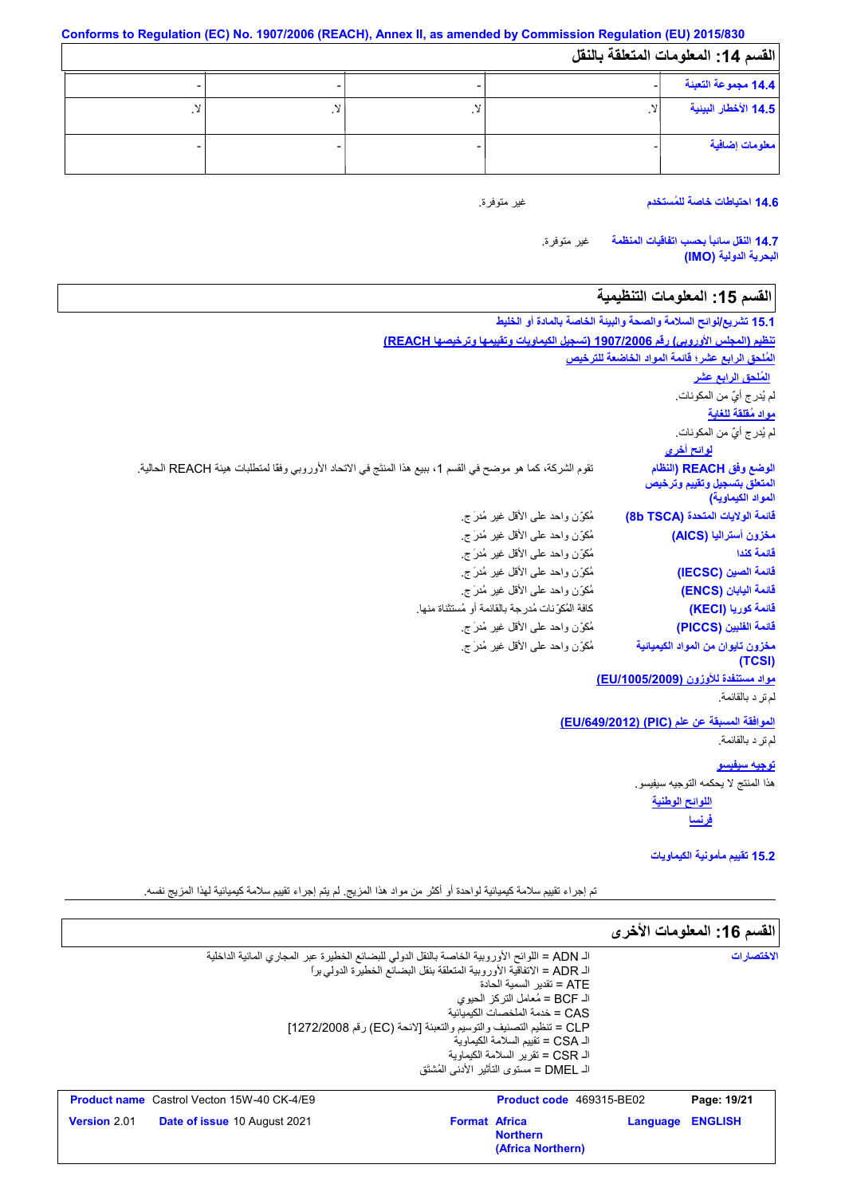| القسم 14: المعلومات المتعلقة بالنقل |  |  |  |  |  |  |  |
|-------------------------------------|--|--|--|--|--|--|--|
| 14.4 مجموعة التعبنة                 |  |  |  |  |  |  |  |
| 14.5 الأخطار البينية                |  |  |  |  |  |  |  |
| معلومات إضافية                      |  |  |  |  |  |  |  |

غیر متوفرة.

**14.6 احتیاطات خاصة للمُستخدم**

غیر متوفرة. **14.7 النقل سائباً بحسب اتفاقیات المنظمة البحریة الدولیة (IMO(**

# **القسم :15 المعلومات التنظیمیة**

|                                                                                                              | 15.1 تشريع/لوائح السلامة والصحة والبيئة الخاصة بالمادة أو الخليط |
|--------------------------------------------------------------------------------------------------------------|------------------------------------------------------------------|
| تنظيم (المجلس الأوروبي) رقم 1907/2006 (تسجيل الكيماويات وتقييمها وترخيصها REACH)                             |                                                                  |
|                                                                                                              | المُلحق الرابع عشر؛ قائمة المواد الخاضعة للترخيص                 |
|                                                                                                              | المُلحق الرابع عشر                                               |
|                                                                                                              | لم يُدرِ ج أيٌّ من المكونات.                                     |
|                                                                                                              | <u>مواد مُقلقة للغاية</u>                                        |
|                                                                                                              | لم يُدرِ ج أيٌّ من المكونات.                                     |
|                                                                                                              | <mark>لوائح أخرى</mark>                                          |
| تقوم الشركة، كما هو موضح في القسم 1، ببيع هذا المنتَج في الاتحاد الأوروبي وفقًا لمتطلبات هيئة REACH الحالية. | الوضع وفق REACH (النظام                                          |
|                                                                                                              | المتعلق بتسجيل وتقييم وترخيص                                     |
|                                                                                                              | المواد الكيماوية)                                                |
| مُكوّزن واحد علىي الأقل غير مُدرَ ج                                                                          | قائمة الولايات المتحدة (8b TSCA)                                 |
| مُكوِّن واحد على الأقل غير مُدرَ ج                                                                           | مخزون أستراليا (AICS)<br>قائمة كندا                              |
| مُكوِّن واحد على الأقل غير مُدرَ ج                                                                           |                                                                  |
| مُكوِّن واحد على الأقل غير مُدرَ ج                                                                           | قائمة الصين (IECSC)                                              |
| مُكوِّن واحد على الأقل غير مُدرَ ج                                                                           | فَائِمة اليابان (ENCS)                                           |
| كافة المُكوِّ نات مُدرِ جة بالقائمة أو مُستثناة منها.                                                        | قائمة كوريا (KECI)                                               |
| مُكوِّن واحد على الأقل غير مُدرَج.                                                                           | قائمة الفلبين (PICCS)                                            |
| مُكوِّن واحد على الأقل غير مُدرَ ج                                                                           | مخزون تايوان من المواد الكيميائية<br>(TCSI)                      |
|                                                                                                              | مواد مستنفدة للأوزون (EU/1005/2009)                              |
|                                                                                                              | لم تر د بالقائمة.                                                |
|                                                                                                              | الموافقة المسبقة عن علم (PIC) (EU/649/2012)                      |
|                                                                                                              | لم تر د بالقائمة.                                                |
|                                                                                                              | <u>توجيه سيفيسو</u>                                              |
|                                                                                                              | هذا المنتج لا يحكمه التوجيه سيفيسو .                             |
|                                                                                                              | اللوائح الوطنية                                                  |
|                                                                                                              | <u>فرنسا</u>                                                     |
|                                                                                                              | 15.2 تقييم مأمونية الكيماويات                                    |

تم إجراء تقییم سلامة كیمیائیة لواحدة أو أكثر من مواد ھذا المزیج. لم یتم إجراء تقییم سلامة كیمیائیة لھذا المزیج نفسھ.

|                                                                                               |                                                                          |                                           |          | القسم 16: المعلومات الأخرى |
|-----------------------------------------------------------------------------------------------|--------------------------------------------------------------------------|-------------------------------------------|----------|----------------------------|
| الـ ADN = اللوائح الأوروبية الخاصة بالنقل الدولي للبضائع الخطيرة عبر المجاري المائية الداخلية |                                                                          |                                           |          | الاختصار ات                |
|                                                                                               | الـ ADR = الإتفاقية الأوروبية المتعلقة بنقل البضائع الخطير ة الدولي براً |                                           |          |                            |
|                                                                                               |                                                                          | ATE = تقدبر   السمبة الحادة               |          |                            |
|                                                                                               |                                                                          | الـ BCF = مُعامل التركز الحيوي            |          |                            |
|                                                                                               |                                                                          | CAS = خدمة الملخصات الكىمىائية            |          |                            |
| CLP = تنظيم التصنيف والتوسيم والتعبئة [لائحة (EC) رقم 1272/2008]                              |                                                                          |                                           |          |                            |
|                                                                                               |                                                                          | الـ CSA = تقبيم السلامة الكيماوية         |          |                            |
|                                                                                               |                                                                          | الـ CSR = تقرير السلامة الكيماوية         |          |                            |
|                                                                                               |                                                                          | الـ DMEL = مستوى التأثير  الأدنى المُشتَق |          |                            |
|                                                                                               |                                                                          |                                           |          |                            |
| <b>Product name</b> Castrol Vecton 15W-40 CK-4/E9                                             |                                                                          | <b>Product code</b> 469315-BE02           |          | Page: 19/21                |
| <b>Version 2.01</b><br><b>Date of issue 10 August 2021</b>                                    | <b>Format Africa</b>                                                     |                                           | Language | <b>ENGLISH</b>             |
|                                                                                               |                                                                          | <b>Northern</b>                           |          |                            |
|                                                                                               |                                                                          | (Africa Northern)                         |          |                            |
|                                                                                               |                                                                          |                                           |          |                            |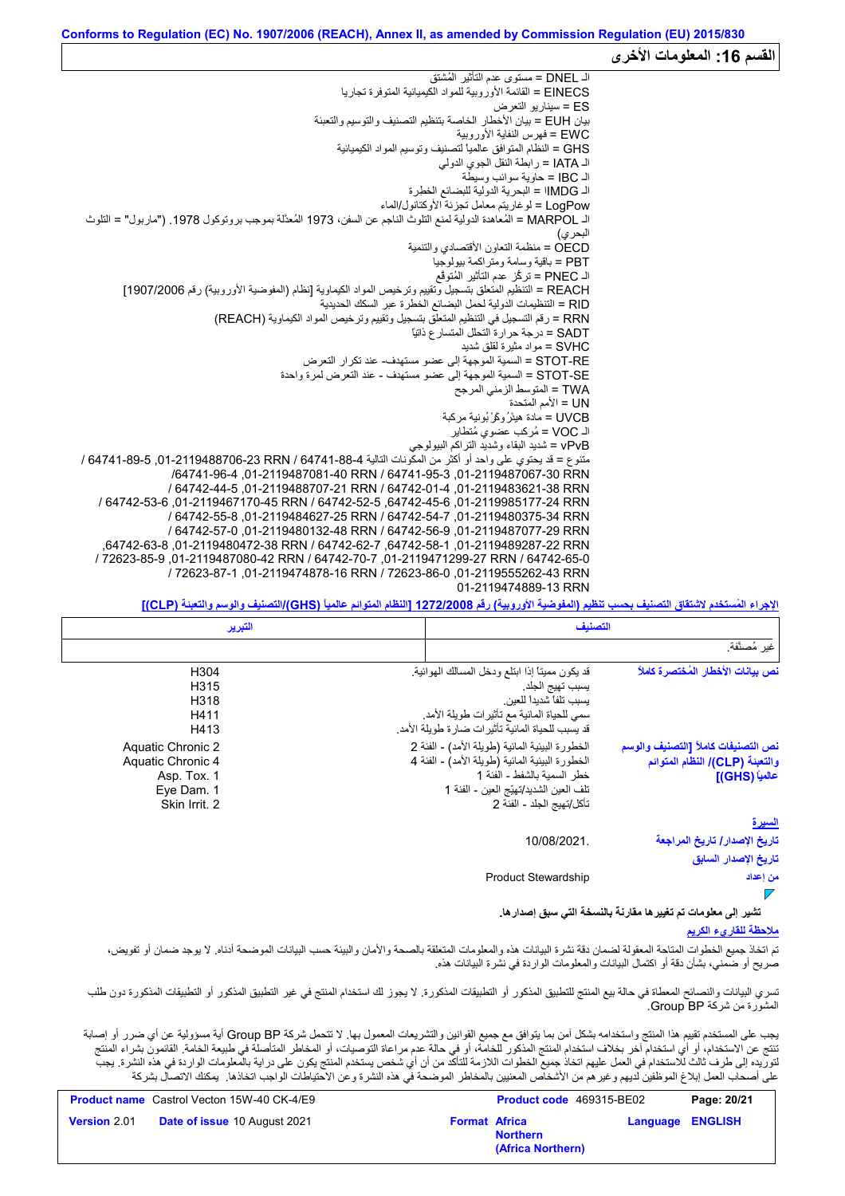# القسم 16: المعلومات الأخر<sub>ى</sub>

الـ DNEL = مستوى عدم التأثیر المُشتق EINECS = القائمة الأوروبیة للمواد الكیمیائیة المتوفرة تجاریا ES = سیناریو التعرض بیان EUH = بیان الأخطار الخاصة بتنظیم التصنیف والتوسیم والتعبئة EWC = فھرس النفایة الأوروبیة GHS = النظام المتوافق عالمیاً لتصنیف وتوسیم المواد الكیمیائیة الـ IATA = رابطة النقل الجوي الدولي الـ IBC = حاویة سوائب وسیطة الـ IMDGا = البحریة الدولیة للبضائع الخطِرة LogPow = لوغاریتم معامل تجزئة الأوكتانول/الماء الـ MARPOL = المُعاھدة الدولیة لمنع التلوث الناجم عن السفن، 1973 المُعدَّلة بموجب بروتوكول .1978 ("ماربول" = التلوث البحري) OECD = منظمة التعاون الأقتصادي والتنمیة PBT = باقیة وسامة ومتراكمة بیولوجیا الـ PNEC = تركُّز عدم التأثیر المُتوقَّع REACH = التنظیم المتعلق بتسجیل وتقییم وترخیص المواد الكیماویة [نظام (المفوضیة الأوروبیة) رقم 1907/2006] RID = التنظیمات الدولیة لحمل البضائع الخطرة عبر السكك الحدیدیة RRN = رقم التسجیل في التنظیم المتعلق بتسجیل وتقییم وترخیص المواد الكیماویة (REACH( SADT = درجة حرارة التحلل المتسارع ذاتیاً SVHC = مواد مثیرة لقلق شدید RE-STOT = السمیة الموجھة إلى عضو مستھدف- عند تكرار التعرض SE-STOT = السمیة الموجھة إلى عضو مستھدف - عند التعرض لمرة واحدة TWA = المتوسط الزمني المرجح UN = الأمم المتحدة UVCB = مادة ھیدْرُوكَرْ بُونیة مركبة الـ VOC = مُركب عضوي مُتطایر vPvB = شدید البقاء وشدید التراكم البیولوجي .<br>متنوع = قد يحتوي على واحد أو أكثر من المكّونات التالية 64741-887 / RRN ,64741-88-4 / 64741-89-5 .01-6474 / /64741-96-4 ,01-2119487081-40 RRN / 64741-95-3 ,01-2119487067-30 RRN / 64742-44-5 ,01-2119488707-21 RRN / 64742-01-4 ,01-2119483621-38 RRN / 64742-53-6 ,01-2119467170-45 RRN / 64742-52-5 ,64742-45-6 ,01-2119985177-24 RRN / 64742-55-8 ,01-2119484627-25 RRN / 64742-54-7 ,01-2119480375-34 RRN / 64742-57-0 ,01-2119480132-48 RRN / 64742-56-9 ,01-2119487077-29 RRN ,64742-63-8 ,01-2119480472-38 RRN / 64742-62-7 ,64742-58-1 ,01-2119489287-22 RRN / 72623-85-9 ,01-2119487080-42 RRN / 64742-70-7 ,01-2119471299-27 RRN / 64742-65-0 / 72623-87-1 ,01-2119474878-16 RRN / 72623-86-0 ,01-2119555262-43 RRN 01-2119474889-13 RRN

**الإجراء المُستخدم لاشتقاق التصنیف بحسب تنظیم (المفوضیة الأوروبیة) رقم 1272/2008 [النظام المتوائم عالمیاً (GHS(/التصنیف والوسم والتعبئة (CLP[(**

| التبرير                                                                              | التصنيف                                                                                                                                                                                                                                                                            |                      |  |
|--------------------------------------------------------------------------------------|------------------------------------------------------------------------------------------------------------------------------------------------------------------------------------------------------------------------------------------------------------------------------------|----------------------|--|
|                                                                                      |                                                                                                                                                                                                                                                                                    | غير مُصنَّفة.        |  |
| H304<br>H315<br>H318<br>H411<br>H413                                                 | نص بيانات الأخطار المُختصرة كاملاً<br>قد يكون مميناً إذا ابتلع ودخل المسالك الهوائية<br>يسبب تهيج الجلد<br>يسبب تلفأ شديدأ للعين<br>سمي للحياة المائية مع تأثيرات طويلة الأمد.<br>قد يسبب للحياة المائية تأثيرات ضارة طويلة الأمد                                                  |                      |  |
| Aquatic Chronic 2<br>Aquatic Chronic 4<br>Asp. Tox. 1<br>Eye Dam. 1<br>Skin Irrit. 2 | الخطورة البيئية المائية (طويلة الأمد) - الفئة 2<br>نص التصنيفات كاملأ [التصنيف والوسم<br>الخطور ة البيئية المائية (طويلة الأمد) - الفئة 4<br>والتعبنة (CLP)/ النظام المتوائم<br>خطر السمبة بالشفط - الفئة 1<br>تلف العين الشديد/تهيّج العين - الفئة 1<br>تأكل/تهيج الجلد - الفئة 2 | عالمياً (GHS) [      |  |
|                                                                                      |                                                                                                                                                                                                                                                                                    | <u>السيرة</u>        |  |
|                                                                                      | تاريخ الإصدار / تاريخ المراجعة<br>10/08/2021.                                                                                                                                                                                                                                      | تاريخ الإصدار السابق |  |
|                                                                                      | <b>Product Stewardship</b>                                                                                                                                                                                                                                                         | من إعداد             |  |

**تشیر إلى معلومات تم تغییرھا مقارنةً بالنسخة التي سبق إصدارھا.**

## **ملاحظة للقاريء الكریم**

تم اتخاذ جمیع الخطوات المعقولة لضمان دقة نشرة البیانات هذه والمعلومات المتعلقة بالصحة والأمان والبیئة حسب البیانات الموضحة أدناه. لا یوجد ضمان أو تفویض، صریح أو ضمني، بشأن دقة أو اكتمال البیانات والمعلومات الواردة في نشرة البیانات ھذه.

تسري البیانات والنصائح المعطاة في حالة بیع المنتج للتطبیق المنكور التكبات الملائد المنتج في غیر التطبیق المذكور أو التطبیقات المذكورة دون طلب المشورة من شركة BP Group.

یجب على المستخدم تقییم ھذا المنتج واستخدامھ بشكل آمن بما یتوافق مع جمیع القوانین والتشریعات المعمول بھا. لا تتحمل شركة BP Group أیة مسؤولیة عن أي ضرر أو إصابة تنتج عن الاستخدام، أو أي استخدام آخر بخلاف استخدام المنتج المذكور للخامة، أو عن التوصيات، أو المخاطر المتأصلة في طبیعة الخامة. القائمون بشراء المنتج لتوریده إلى طرف ثالث للاستخدام في العمل علیهم اتخاذ جمیع الخطوات اللازمة للتأكد من أن أي شخص یستخدم المنتج یكون على درایة بالمعلومات الواردة في هذه النشرة. یجب على أصحاب العمل إبلاغ الموظفین لدیھم وغیرھم من الأشخاص المعنیین بالمخاطر الموضحة في ھذه النشرة وعن الاحتیاطات الواجب اتخاذھا. یمكنك الاتصال بشركة

| <b>Product name</b> Castrol Vecton 15W-40 CK-4/E9 |                                     | <b>Product code</b> 469315-BE02 |                                      | Page: 20/21             |  |
|---------------------------------------------------|-------------------------------------|---------------------------------|--------------------------------------|-------------------------|--|
| <b>Version 2.01</b>                               | <b>Date of issue 10 August 2021</b> | <b>Format Africa</b>            | <b>Northern</b><br>(Africa Northern) | <b>Language ENGLISH</b> |  |